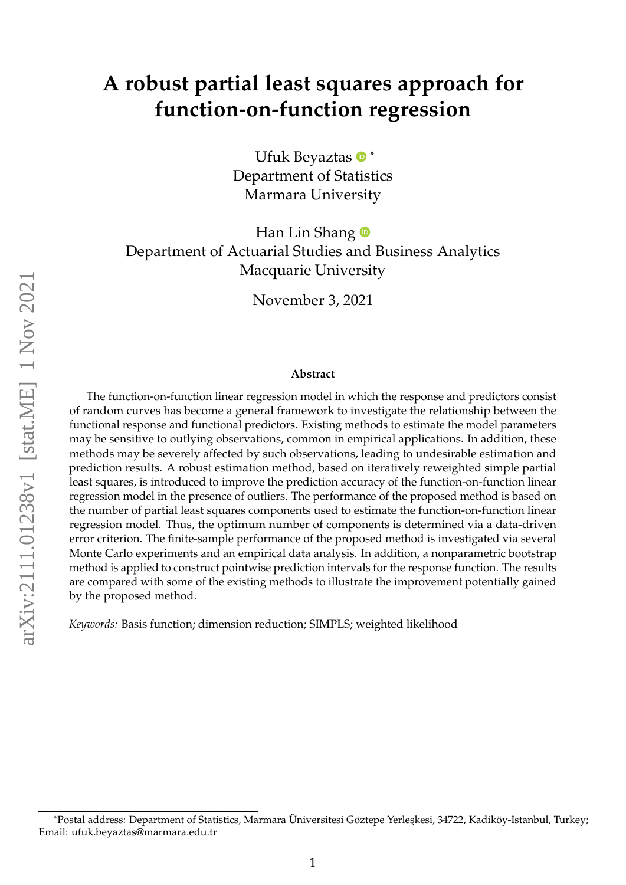# **A robust partial least squares approach for function-on-function regression**

Ufuk Beyaztas  $\bullet$ \* Department of Statistics Marmara University

Han Lin Shang **D** Department of Actuarial Studies and Business Analytics Macquarie University

November 3, 2021

#### **Abstract**

The function-on-function linear regression model in which the response and predictors consist of random curves has become a general framework to investigate the relationship between the functional response and functional predictors. Existing methods to estimate the model parameters may be sensitive to outlying observations, common in empirical applications. In addition, these methods may be severely affected by such observations, leading to undesirable estimation and prediction results. A robust estimation method, based on iteratively reweighted simple partial least squares, is introduced to improve the prediction accuracy of the function-on-function linear regression model in the presence of outliers. The performance of the proposed method is based on the number of partial least squares components used to estimate the function-on-function linear regression model. Thus, the optimum number of components is determined via a data-driven error criterion. The finite-sample performance of the proposed method is investigated via several Monte Carlo experiments and an empirical data analysis. In addition, a nonparametric bootstrap method is applied to construct pointwise prediction intervals for the response function. The results are compared with some of the existing methods to illustrate the improvement potentially gained by the proposed method.

*Keywords:* Basis function; dimension reduction; SIMPLS; weighted likelihood

<sup>\*</sup>Postal address: Department of Statistics, Marmara Üniversitesi Göztepe Yerleşkesi, 34722, Kadiköy-Istanbul, Turkey; Email: ufuk.beyaztas@marmara.edu.tr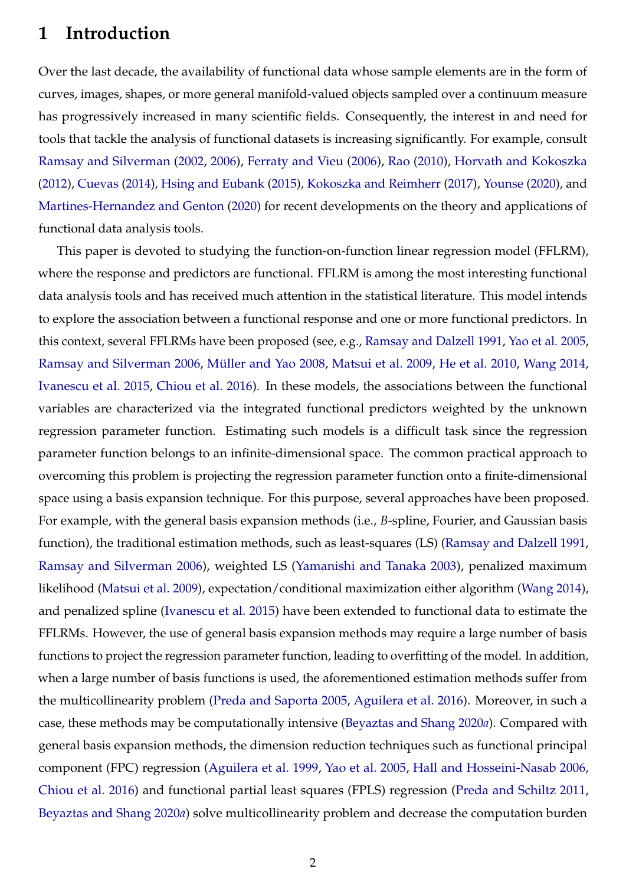# **1 Introduction**

Over the last decade, the availability of functional data whose sample elements are in the form of curves, images, shapes, or more general manifold-valued objects sampled over a continuum measure has progressively increased in many scientific fields. Consequently, the interest in and need for tools that tackle the analysis of functional datasets is increasing significantly. For example, consult [Ramsay and Silverman](#page-25-0) [\(2002,](#page-25-0) [2006\)](#page-25-1), [Ferraty and Vieu](#page-23-0) [\(2006\)](#page-23-0), [Rao](#page-25-2) [\(2010\)](#page-25-2), [Horvath and Kokoszka](#page-23-1) [\(2012\)](#page-23-1), [Cuevas](#page-22-0) [\(2014\)](#page-22-0), [Hsing and Eubank](#page-23-2) [\(2015\)](#page-23-2), [Kokoszka and Reimherr](#page-24-0) [\(2017\)](#page-24-0), [Younse](#page-26-0) [\(2020\)](#page-26-0), and [Martines-Hernandez and Genton](#page-24-1) [\(2020\)](#page-24-1) for recent developments on the theory and applications of functional data analysis tools.

This paper is devoted to studying the function-on-function linear regression model (FFLRM), where the response and predictors are functional. FFLRM is among the most interesting functional data analysis tools and has received much attention in the statistical literature. This model intends to explore the association between a functional response and one or more functional predictors. In this context, several FFLRMs have been proposed (see, e.g., [Ramsay and Dalzell](#page-25-3) [1991,](#page-25-3) [Yao et al.](#page-26-1) [2005,](#page-26-1) [Ramsay and Silverman](#page-25-1) [2006,](#page-25-1) Müller and Yao [2008,](#page-24-2) [Matsui et al.](#page-24-3) [2009,](#page-24-3) [He et al.](#page-23-3) [2010,](#page-23-3) [Wang](#page-25-4) [2014,](#page-25-4) [Ivanescu et al.](#page-24-4) [2015,](#page-24-4) [Chiou et al.](#page-22-1) [2016\)](#page-22-1). In these models, the associations between the functional variables are characterized via the integrated functional predictors weighted by the unknown regression parameter function. Estimating such models is a difficult task since the regression parameter function belongs to an infinite-dimensional space. The common practical approach to overcoming this problem is projecting the regression parameter function onto a finite-dimensional space using a basis expansion technique. For this purpose, several approaches have been proposed. For example, with the general basis expansion methods (i.e., *B*-spline, Fourier, and Gaussian basis function), the traditional estimation methods, such as least-squares (LS) [\(Ramsay and Dalzell](#page-25-3) [1991,](#page-25-3) [Ramsay and Silverman](#page-25-1) [2006\)](#page-25-1), weighted LS [\(Yamanishi and Tanaka](#page-25-5) [2003\)](#page-25-5), penalized maximum likelihood [\(Matsui et al.](#page-24-3) [2009\)](#page-24-3), expectation/conditional maximization either algorithm [\(Wang](#page-25-4) [2014\)](#page-25-4), and penalized spline [\(Ivanescu et al.](#page-24-4) [2015\)](#page-24-4) have been extended to functional data to estimate the FFLRMs. However, the use of general basis expansion methods may require a large number of basis functions to project the regression parameter function, leading to overfitting of the model. In addition, when a large number of basis functions is used, the aforementioned estimation methods suffer from the multicollinearity problem [\(Preda and Saporta](#page-24-5) [2005,](#page-24-5) [Aguilera et al.](#page-22-2) [2016\)](#page-22-2). Moreover, in such a case, these methods may be computationally intensive [\(Beyaztas and Shang](#page-22-3) [2020](#page-22-3)*a*). Compared with general basis expansion methods, the dimension reduction techniques such as functional principal component (FPC) regression [\(Aguilera et al.](#page-22-4) [1999,](#page-22-4) [Yao et al.](#page-26-1) [2005,](#page-26-1) [Hall and Hosseini-Nasab](#page-23-4) [2006,](#page-23-4) [Chiou et al.](#page-22-1) [2016\)](#page-22-1) and functional partial least squares (FPLS) regression [\(Preda and Schiltz](#page-25-6) [2011,](#page-25-6) [Beyaztas and Shang](#page-22-3) [2020](#page-22-3)*a*) solve multicollinearity problem and decrease the computation burden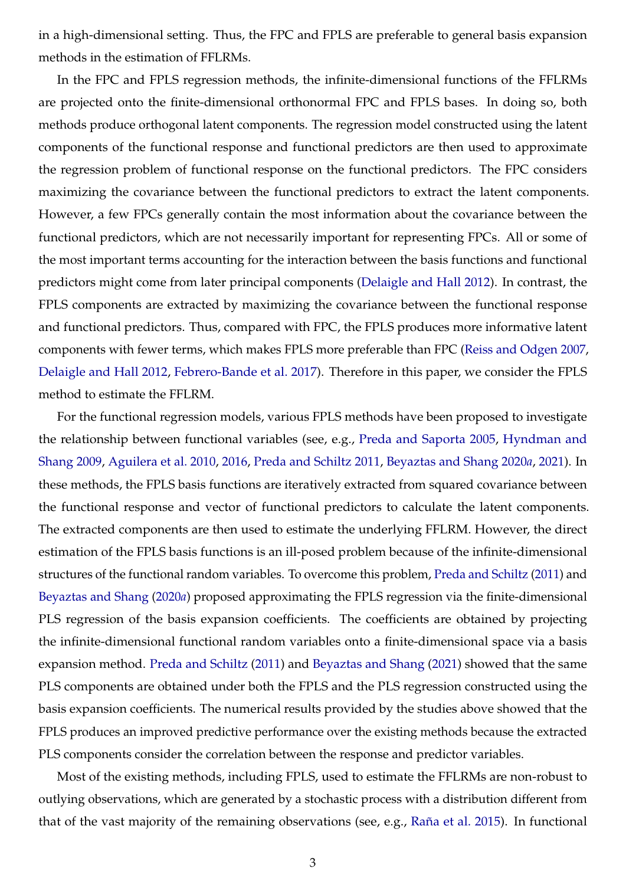in a high-dimensional setting. Thus, the FPC and FPLS are preferable to general basis expansion methods in the estimation of FFLRMs.

In the FPC and FPLS regression methods, the infinite-dimensional functions of the FFLRMs are projected onto the finite-dimensional orthonormal FPC and FPLS bases. In doing so, both methods produce orthogonal latent components. The regression model constructed using the latent components of the functional response and functional predictors are then used to approximate the regression problem of functional response on the functional predictors. The FPC considers maximizing the covariance between the functional predictors to extract the latent components. However, a few FPCs generally contain the most information about the covariance between the functional predictors, which are not necessarily important for representing FPCs. All or some of the most important terms accounting for the interaction between the basis functions and functional predictors might come from later principal components [\(Delaigle and Hall](#page-23-5) [2012\)](#page-23-5). In contrast, the FPLS components are extracted by maximizing the covariance between the functional response and functional predictors. Thus, compared with FPC, the FPLS produces more informative latent components with fewer terms, which makes FPLS more preferable than FPC [\(Reiss and Odgen](#page-25-7) [2007,](#page-25-7) [Delaigle and Hall](#page-23-5) [2012,](#page-23-5) [Febrero-Bande et al.](#page-23-6) [2017\)](#page-23-6). Therefore in this paper, we consider the FPLS method to estimate the FFLRM.

For the functional regression models, various FPLS methods have been proposed to investigate the relationship between functional variables (see, e.g., [Preda and Saporta](#page-24-5) [2005,](#page-24-5) [Hyndman and](#page-24-6) [Shang](#page-24-6) [2009,](#page-24-6) [Aguilera et al.](#page-22-5) [2010,](#page-22-5) [2016,](#page-22-2) [Preda and Schiltz](#page-25-6) [2011,](#page-25-6) [Beyaztas and Shang](#page-22-3) [2020](#page-22-3)*a*, [2021\)](#page-22-6). In these methods, the FPLS basis functions are iteratively extracted from squared covariance between the functional response and vector of functional predictors to calculate the latent components. The extracted components are then used to estimate the underlying FFLRM. However, the direct estimation of the FPLS basis functions is an ill-posed problem because of the infinite-dimensional structures of the functional random variables. To overcome this problem, [Preda and Schiltz](#page-25-6) [\(2011\)](#page-25-6) and [Beyaztas and Shang](#page-22-3) [\(2020](#page-22-3)*a*) proposed approximating the FPLS regression via the finite-dimensional PLS regression of the basis expansion coefficients. The coefficients are obtained by projecting the infinite-dimensional functional random variables onto a finite-dimensional space via a basis expansion method. [Preda and Schiltz](#page-25-6) [\(2011\)](#page-25-6) and [Beyaztas and Shang](#page-22-6) [\(2021\)](#page-22-6) showed that the same PLS components are obtained under both the FPLS and the PLS regression constructed using the basis expansion coefficients. The numerical results provided by the studies above showed that the FPLS produces an improved predictive performance over the existing methods because the extracted PLS components consider the correlation between the response and predictor variables.

Most of the existing methods, including FPLS, used to estimate the FFLRMs are non-robust to outlying observations, which are generated by a stochastic process with a distribution different from that of the vast majority of the remaining observations (see, e.g., Raña et al. [2015\)](#page-25-8). In functional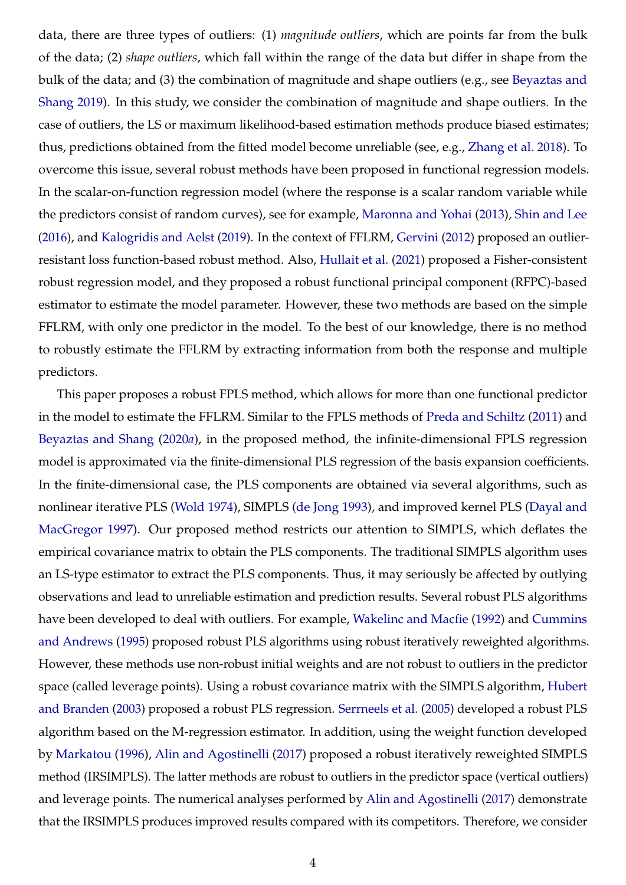data, there are three types of outliers: (1) *magnitude outliers*, which are points far from the bulk of the data; (2) *shape outliers*, which fall within the range of the data but differ in shape from the bulk of the data; and (3) the combination of magnitude and shape outliers (e.g., see [Beyaztas and](#page-22-7) [Shang](#page-22-7) [2019\)](#page-22-7). In this study, we consider the combination of magnitude and shape outliers. In the case of outliers, the LS or maximum likelihood-based estimation methods produce biased estimates; thus, predictions obtained from the fitted model become unreliable (see, e.g., [Zhang et al.](#page-26-2) [2018\)](#page-26-2). To overcome this issue, several robust methods have been proposed in functional regression models. In the scalar-on-function regression model (where the response is a scalar random variable while the predictors consist of random curves), see for example, [Maronna and Yohai](#page-24-7) [\(2013\)](#page-24-7), [Shin and Lee](#page-25-9) [\(2016\)](#page-25-9), and [Kalogridis and Aelst](#page-24-8) [\(2019\)](#page-24-8). In the context of FFLRM, [Gervini](#page-23-7) [\(2012\)](#page-23-7) proposed an outlierresistant loss function-based robust method. Also, [Hullait et al.](#page-23-8) [\(2021\)](#page-23-8) proposed a Fisher-consistent robust regression model, and they proposed a robust functional principal component (RFPC)-based estimator to estimate the model parameter. However, these two methods are based on the simple FFLRM, with only one predictor in the model. To the best of our knowledge, there is no method to robustly estimate the FFLRM by extracting information from both the response and multiple predictors.

This paper proposes a robust FPLS method, which allows for more than one functional predictor in the model to estimate the FFLRM. Similar to the FPLS methods of [Preda and Schiltz](#page-25-6) [\(2011\)](#page-25-6) and [Beyaztas and Shang](#page-22-3) [\(2020](#page-22-3)*a*), in the proposed method, the infinite-dimensional FPLS regression model is approximated via the finite-dimensional PLS regression of the basis expansion coefficients. In the finite-dimensional case, the PLS components are obtained via several algorithms, such as nonlinear iterative PLS [\(Wold](#page-25-10) [1974\)](#page-25-10), SIMPLS [\(de Jong](#page-23-9) [1993\)](#page-23-9), and improved kernel PLS [\(Dayal and](#page-23-10) [MacGregor](#page-23-10) [1997\)](#page-23-10). Our proposed method restricts our attention to SIMPLS, which deflates the empirical covariance matrix to obtain the PLS components. The traditional SIMPLS algorithm uses an LS-type estimator to extract the PLS components. Thus, it may seriously be affected by outlying observations and lead to unreliable estimation and prediction results. Several robust PLS algorithms have been developed to deal with outliers. For example, [Wakelinc and Macfie](#page-25-11) [\(1992\)](#page-25-11) and [Cummins](#page-22-8) [and Andrews](#page-22-8) [\(1995\)](#page-22-8) proposed robust PLS algorithms using robust iteratively reweighted algorithms. However, these methods use non-robust initial weights and are not robust to outliers in the predictor space (called leverage points). Using a robust covariance matrix with the SIMPLS algorithm, [Hubert](#page-23-11) [and Branden](#page-23-11) [\(2003\)](#page-23-11) proposed a robust PLS regression. [Serrneels et al.](#page-25-12) [\(2005\)](#page-25-12) developed a robust PLS algorithm based on the M-regression estimator. In addition, using the weight function developed by [Markatou](#page-24-9) [\(1996\)](#page-24-9), [Alin and Agostinelli](#page-22-9) [\(2017\)](#page-22-9) proposed a robust iteratively reweighted SIMPLS method (IRSIMPLS). The latter methods are robust to outliers in the predictor space (vertical outliers) and leverage points. The numerical analyses performed by [Alin and Agostinelli](#page-22-9) [\(2017\)](#page-22-9) demonstrate that the IRSIMPLS produces improved results compared with its competitors. Therefore, we consider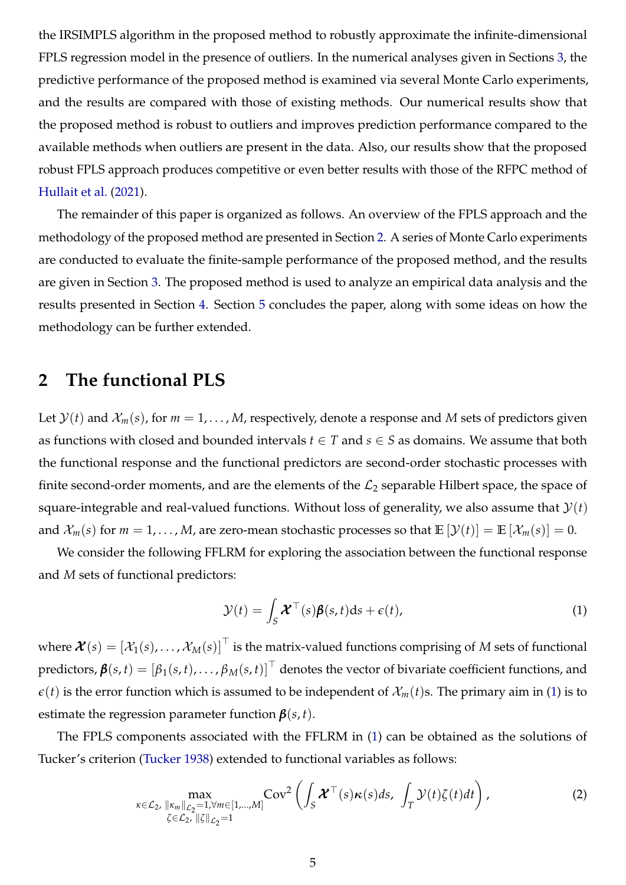the IRSIMPLS algorithm in the proposed method to robustly approximate the infinite-dimensional FPLS regression model in the presence of outliers. In the numerical analyses given in Sections [3,](#page-9-0) the predictive performance of the proposed method is examined via several Monte Carlo experiments, and the results are compared with those of existing methods. Our numerical results show that the proposed method is robust to outliers and improves prediction performance compared to the available methods when outliers are present in the data. Also, our results show that the proposed robust FPLS approach produces competitive or even better results with those of the RFPC method of [Hullait et al.](#page-23-8) [\(2021\)](#page-23-8).

The remainder of this paper is organized as follows. An overview of the FPLS approach and the methodology of the proposed method are presented in Section [2.](#page-4-0) A series of Monte Carlo experiments are conducted to evaluate the finite-sample performance of the proposed method, and the results are given in Section [3.](#page-9-0) The proposed method is used to analyze an empirical data analysis and the results presented in Section [4.](#page-17-0) Section [5](#page-20-0) concludes the paper, along with some ideas on how the methodology can be further extended.

#### <span id="page-4-0"></span>**2 The functional PLS**

Let  $\mathcal{Y}(t)$  and  $\mathcal{X}_m(s)$ , for  $m = 1, \ldots, M$ , respectively, denote a response and M sets of predictors given as functions with closed and bounded intervals  $t \in T$  and  $s \in S$  as domains. We assume that both the functional response and the functional predictors are second-order stochastic processes with finite second-order moments, and are the elements of the  $\mathcal{L}_2$  separable Hilbert space, the space of square-integrable and real-valued functions. Without loss of generality, we also assume that  $\mathcal{Y}(t)$ and  $\mathcal{X}_m(s)$  for  $m = 1, ..., M$ , are zero-mean stochastic processes so that  $\mathbb{E}[\mathcal{Y}(t)] = \mathbb{E}[\mathcal{X}_m(s)] = 0$ .

We consider the following FFLRM for exploring the association between the functional response and *M* sets of functional predictors:

<span id="page-4-1"></span>
$$
\mathcal{Y}(t) = \int_{S} \boldsymbol{\mathcal{X}}^{\top}(s) \boldsymbol{\beta}(s, t) \mathrm{d}s + \epsilon(t), \qquad (1)
$$

where  $\bm{\mathcal{X}}(s) = [\mathcal{X}_1(s),\dots,\mathcal{X}_M(s)]^\top$  is the matrix-valued functions comprising of  $M$  sets of functional  $\mathsf{predictors}, \bm{\beta}(s,t) = [\beta_1(s,t), \ldots, \beta_M(s,t)]^\top$  denotes the vector of bivariate coefficient functions, and  $\epsilon(t)$  is the error function which is assumed to be independent of  $\mathcal{X}_m(t)$ s. The primary aim in [\(1\)](#page-4-1) is to estimate the regression parameter function  $\beta(s, t)$ .

The FPLS components associated with the FFLRM in [\(1\)](#page-4-1) can be obtained as the solutions of Tucker's criterion [\(Tucker](#page-25-13) [1938\)](#page-25-13) extended to functional variables as follows:

<span id="page-4-2"></span>
$$
\max_{\kappa \in \mathcal{L}_2, \|\kappa_m\|_{\mathcal{L}_2} = 1, \forall m \in [1, \dots, M]} \text{Cov}^2 \left( \int_S \boldsymbol{\mathcal{X}}^{\top}(s) \kappa(s) ds, \int_T \mathcal{Y}(t) \zeta(t) dt \right), \tag{2}
$$
\n
$$
\sum_{\zeta \in \mathcal{L}_2, \|\zeta\|_{\mathcal{L}_2} = 1} \text{Cov}^2 \left( \int_S \boldsymbol{\mathcal{X}}^{\top}(s) \kappa(s) ds, \int_T \mathcal{Y}(t) \zeta(t) dt \right),
$$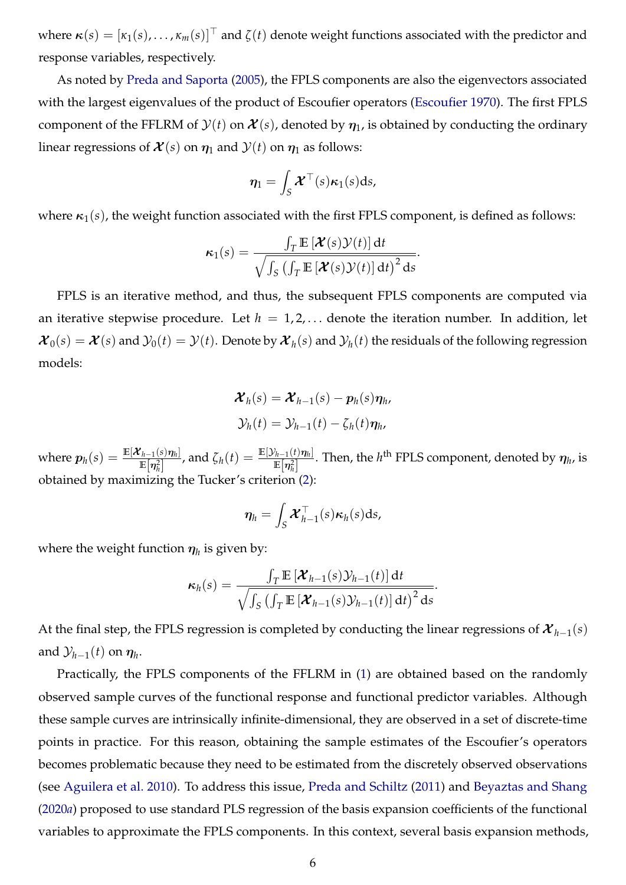where  $\kappa(s) = [\kappa_1(s), \ldots, \kappa_m(s)]^\top$  and  $\zeta(t)$  denote weight functions associated with the predictor and response variables, respectively.

As noted by [Preda and Saporta](#page-24-5) [\(2005\)](#page-24-5), the FPLS components are also the eigenvectors associated with the largest eigenvalues of the product of Escoufier operators [\(Escoufier](#page-23-12) [1970\)](#page-23-12). The first FPLS component of the FFLRM of  $\mathcal{Y}(t)$  on  $\mathcal{X}(s)$ , denoted by  $\eta_1$ , is obtained by conducting the ordinary linear regressions of  $\mathcal{X}(s)$  on  $\eta_1$  and  $\mathcal{Y}(t)$  on  $\eta_1$  as follows:

$$
\eta_1 = \int_{S} \boldsymbol{\mathcal{X}}^{\top}(s) \kappa_1(s) \mathrm{d} s,
$$

where  $\kappa_1(s)$ , the weight function associated with the first FPLS component, is defined as follows:

$$
\kappa_1(s) = \frac{\int_T \mathbb{E}\left[\mathcal{X}(s)\mathcal{Y}(t)\right]dt}{\sqrt{\int_S \left(\int_T \mathbb{E}\left[\mathcal{X}(s)\mathcal{Y}(t)\right]dt\right)^2 ds}}.
$$

FPLS is an iterative method, and thus, the subsequent FPLS components are computed via an iterative stepwise procedure. Let  $h = 1, 2, \ldots$  denote the iteration number. In addition, let  $\mathcal{X}_0(s) = \mathcal{X}(s)$  and  $\mathcal{Y}_0(t) = \mathcal{Y}(t)$ . Denote by  $\mathcal{X}_h(s)$  and  $\mathcal{Y}_h(t)$  the residuals of the following regression models:

$$
\boldsymbol{\mathcal{X}}_h(s) = \boldsymbol{\mathcal{X}}_{h-1}(s) - \boldsymbol{p}_h(s)\boldsymbol{\eta}_h,
$$
  

$$
\mathcal{Y}_h(t) = \mathcal{Y}_{h-1}(t) - \zeta_h(t)\boldsymbol{\eta}_h,
$$

where  $\boldsymbol{p}_h(s) = \frac{\mathbb{E}[\boldsymbol{\mathcal{X}}_{h-1}(s)\boldsymbol{\eta}_h]}{\mathbb{E}[\boldsymbol{n}^2]}$  $\frac{\mathcal{L}_{h-1}(s)\boldsymbol{\eta}_h]}{\mathbb{E}\big[\boldsymbol{\eta}_h^2\big]}$ , and  $\zeta_h(t)=\frac{\mathbb{E}[\mathcal{Y}_{h-1}(t)\boldsymbol{\eta}_h]}{\mathbb{E}\big[\boldsymbol{\eta}_h^2\big]}$  $\frac{E[n-1]}{\mathbb{E}[\eta_h^2]}$ . Then, the  $h^{\text{th}}$  FPLS component, denoted by  $\eta_h$ , is obtained by maximizing the Tucker's criterion [\(2\)](#page-4-2):

$$
\boldsymbol{\eta_h} = \int_S \boldsymbol{\mathcal{X}}_{h-1}^{\top}(s) \boldsymbol{\kappa}_h(s) \mathrm{d}s,
$$

where the weight function  $\eta_h$  is given by:

$$
\kappa_h(s) = \frac{\int_T \mathbb{E}\left[\mathcal{X}_{h-1}(s)\mathcal{Y}_{h-1}(t)\right]dt}{\sqrt{\int_S \left(\int_T \mathbb{E}\left[\mathcal{X}_{h-1}(s)\mathcal{Y}_{h-1}(t)\right]dt\right)^2 ds}}.
$$

At the final step, the FPLS regression is completed by conducting the linear regressions of  $\mathcal{X}_{h-1}(s)$ and  $\mathcal{Y}_{h-1}(t)$  on  $\eta_h$ .

Practically, the FPLS components of the FFLRM in [\(1\)](#page-4-1) are obtained based on the randomly observed sample curves of the functional response and functional predictor variables. Although these sample curves are intrinsically infinite-dimensional, they are observed in a set of discrete-time points in practice. For this reason, obtaining the sample estimates of the Escoufier's operators becomes problematic because they need to be estimated from the discretely observed observations (see [Aguilera et al.](#page-22-5) [2010\)](#page-22-5). To address this issue, [Preda and Schiltz](#page-25-6) [\(2011\)](#page-25-6) and [Beyaztas and Shang](#page-22-3) [\(2020](#page-22-3)*a*) proposed to use standard PLS regression of the basis expansion coefficients of the functional variables to approximate the FPLS components. In this context, several basis expansion methods,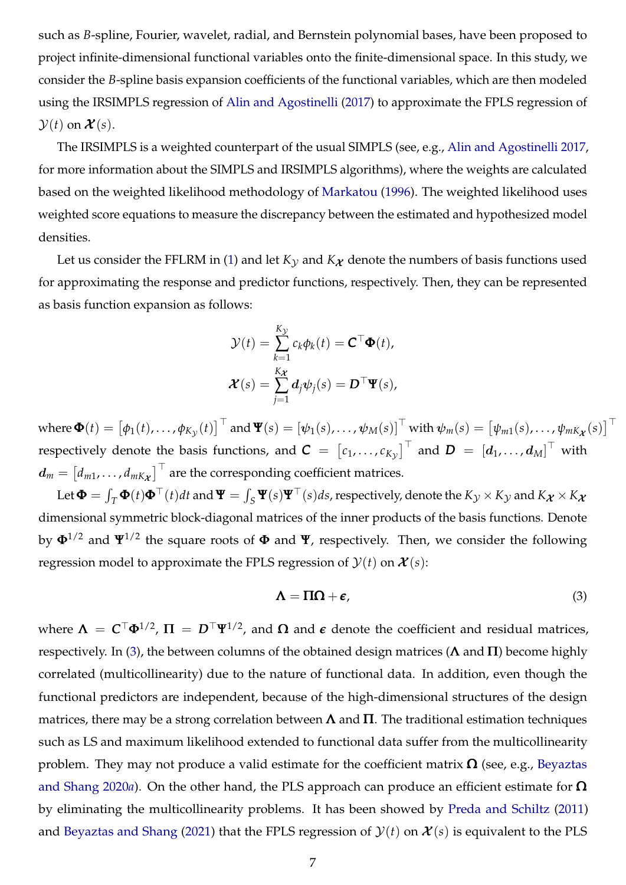such as *B*-spline, Fourier, wavelet, radial, and Bernstein polynomial bases, have been proposed to project infinite-dimensional functional variables onto the finite-dimensional space. In this study, we consider the *B*-spline basis expansion coefficients of the functional variables, which are then modeled using the IRSIMPLS regression of [Alin and Agostinelli](#page-22-9) [\(2017\)](#page-22-9) to approximate the FPLS regression of  $\mathcal{Y}(t)$  on  $\mathcal{X}(s)$ .

The IRSIMPLS is a weighted counterpart of the usual SIMPLS (see, e.g., [Alin and Agostinelli](#page-22-9) [2017,](#page-22-9) for more information about the SIMPLS and IRSIMPLS algorithms), where the weights are calculated based on the weighted likelihood methodology of [Markatou](#page-24-9) [\(1996\)](#page-24-9). The weighted likelihood uses weighted score equations to measure the discrepancy between the estimated and hypothesized model densities.

Let us consider the FFLRM in [\(1\)](#page-4-1) and let  $K<sub>V</sub>$  and  $K<sub>X</sub>$  denote the numbers of basis functions used for approximating the response and predictor functions, respectively. Then, they can be represented as basis function expansion as follows:

$$
\mathcal{Y}(t) = \sum_{k=1}^{K_{\mathcal{Y}}} c_k \phi_k(t) = \mathbf{C}^\top \mathbf{\Phi}(t),
$$

$$
\mathbf{\mathcal{X}}(s) = \sum_{j=1}^{K_{\mathcal{X}}} d_j \psi_j(s) = \mathbf{D}^\top \mathbf{\Psi}(s),
$$

where  $\boldsymbol{\Phi}(t) = \big[\phi_1(t),\ldots,\phi_{K_{\mathcal{Y}}}(t)\big]^{\top}$  and  $\boldsymbol{\Psi}(s) = \left[\psi_1(s),\ldots,\psi_M(s)\right]^{\top}$  with  $\psi_m(s) = \big[\psi_{m1}(s),\ldots,\psi_{mK_{\boldsymbol{\mathcal{X}}}}(s)\big]^{\top}$ respectively denote the basis functions, and  $\textbf{\emph{C}}~=~\left[c_1,\ldots,c_{K_{\cal{Y}}}\right]^{\top}$  and  $\textbf{\emph{D}}~=~\left[\textbf{\emph{d}}_1,\ldots,\textbf{\emph{d}}_{{\cal{M}}}\right]^{\top}$  with  $\boldsymbol{d}_m = \left[d_{m1}, \ldots, d_{mK_{\boldsymbol{X}}}\right]^{\top}$  are the corresponding coefficient matrices.

 $\text{Let } \mathbf{\Phi} = \int_T \mathbf{\Phi}(t) \mathbf{\Phi}^\top(t) dt$  and  $\mathbf{\Psi} = \int_S \mathbf{\Psi}(s) \mathbf{\Psi}^\top(s) ds$ , respectively, denote the  $K_\mathcal{Y} \times K_\mathcal{Y}$  and  $K_\mathcal{X} \times K_\mathcal{X}$ dimensional symmetric block-diagonal matrices of the inner products of the basis functions. Denote by  $\Phi^{1/2}$  and  $\Psi^{1/2}$  the square roots of  $\Phi$  and  $\Psi$ , respectively. Then, we consider the following regression model to approximate the FPLS regression of  $\mathcal{Y}(t)$  on  $\mathcal{X}(s)$ :

<span id="page-6-0"></span>
$$
\Lambda = \Pi \Omega + \epsilon, \tag{3}
$$

where  $\bm{\Lambda}\ =\ \bm{C}^\top\bm{\Phi}^{1/2}$ ,  $\bm{\Pi}\ =\ \bm{D}^\top\bm{\Psi}^{1/2}$ , and  $\bm{\Omega}$  and  $\bm{\epsilon}$  denote the coefficient and residual matrices, respectively. In [\(3\)](#page-6-0), the between columns of the obtained design matrices ( $\Lambda$  and  $\Pi$ ) become highly correlated (multicollinearity) due to the nature of functional data. In addition, even though the functional predictors are independent, because of the high-dimensional structures of the design matrices, there may be a strong correlation between  $\Lambda$  and  $\Pi$ . The traditional estimation techniques such as LS and maximum likelihood extended to functional data suffer from the multicollinearity problem. They may not produce a valid estimate for the coefficient matrix  $\Omega$  (see, e.g., [Beyaztas](#page-22-3) [and Shang](#page-22-3) [2020](#page-22-3)*a*). On the other hand, the PLS approach can produce an efficient estimate for Ω by eliminating the multicollinearity problems. It has been showed by [Preda and Schiltz](#page-25-6) [\(2011\)](#page-25-6) and [Beyaztas and Shang](#page-22-6) [\(2021\)](#page-22-6) that the FPLS regression of  $\mathcal{Y}(t)$  on  $\mathcal{X}(s)$  is equivalent to the PLS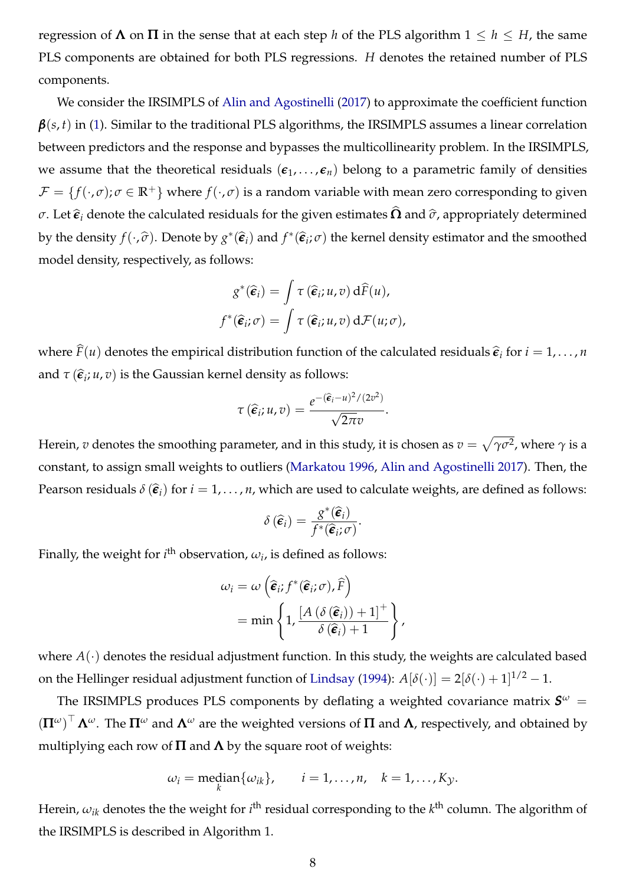regression of  $\Lambda$  on  $\Pi$  in the sense that at each step *h* of the PLS algorithm  $1 \leq h \leq H$ , the same PLS components are obtained for both PLS regressions. *H* denotes the retained number of PLS components.

We consider the IRSIMPLS of [Alin and Agostinelli](#page-22-9) [\(2017\)](#page-22-9) to approximate the coefficient function  $\beta(s,t)$  in [\(1\)](#page-4-1). Similar to the traditional PLS algorithms, the IRSIMPLS assumes a linear correlation between predictors and the response and bypasses the multicollinearity problem. In the IRSIMPLS, we assume that the theoretical residuals  $(\epsilon_1, \ldots, \epsilon_n)$  belong to a parametric family of densities  $\mathcal{F} = \{f(\cdot, \sigma); \sigma \in \mathbb{R}^+\}$  where  $f(\cdot, \sigma)$  is a random variable with mean zero corresponding to given *σ*. Let  $\hat{\epsilon}_i$  denote the calculated residuals for the given estimates  $\Omega$  and  $\hat{\sigma}$ , appropriately determined by the density  $f(\cdot,\hat{\sigma})$ . Denote by  $g^*(\hat{\epsilon}_i)$  and  $f^*(\hat{\epsilon}_i;\sigma)$  the kernel density estimator and the smoothed model density, respectively, as follows:

$$
g^*(\widehat{\boldsymbol{\epsilon}}_i) = \int \tau(\widehat{\boldsymbol{\epsilon}}_i; u, v) d\widehat{F}(u),
$$

$$
f^*(\widehat{\boldsymbol{\epsilon}}_i; \sigma) = \int \tau(\widehat{\boldsymbol{\epsilon}}_i; u, v) d\mathcal{F}(u; \sigma),
$$

where  $\overline{F}(u)$  denotes the empirical distribution function of the calculated residuals  $\widehat{\bm{e}}_i$  for  $i = 1, \ldots, n$ and  $\tau$   $(\widehat{\boldsymbol{\epsilon}}_i; u, v)$  is the Gaussian kernel density as follows:

$$
\tau\left(\widehat{\boldsymbol{\epsilon}}_i;u,v\right)=\frac{e^{-(\widehat{\boldsymbol{\epsilon}}_i-u)^2/(2v^2)}}{\sqrt{2\pi}v}.
$$

Herein*,*  $v$  denotes the smoothing parameter, and in this study, it is chosen as  $v=\sqrt{\gamma\sigma^2}$ , where  $\gamma$  is a constant, to assign small weights to outliers [\(Markatou](#page-24-9) [1996,](#page-24-9) [Alin and Agostinelli](#page-22-9) [2017\)](#page-22-9). Then, the Pearson residuals  $\delta(\hat{\epsilon}_i)$  for  $i = 1, ..., n$ , which are used to calculate weights, are defined as follows:

$$
\delta\left(\widehat{\boldsymbol{\epsilon}}_i\right)=\frac{g^*(\widehat{\boldsymbol{\epsilon}}_i)}{f^*(\widehat{\boldsymbol{\epsilon}}_i;\sigma)}.
$$

Finally, the weight for  $i^{\text{th}}$  observation,  $\omega_i$ , is defined as follows:

$$
\omega_i = \omega \left( \widehat{\boldsymbol{\epsilon}}_i; f^*(\widehat{\boldsymbol{\epsilon}}_i; \sigma), \widehat{F} \right)
$$
  
= min  $\left\{ 1, \frac{[A (\delta (\widehat{\boldsymbol{\epsilon}}_i)) + 1]^+}{\delta (\widehat{\boldsymbol{\epsilon}}_i) + 1} \right\},\$ 

where  $A(\cdot)$  denotes the residual adjustment function. In this study, the weights are calculated based on the Hellinger residual adjustment function of [Lindsay](#page-24-10) [\(1994\)](#page-24-10):  $A[\delta(\cdot)]=2[\delta(\cdot)+1]^{1/2}-1.$ 

The IRSIMPLS produces PLS components by deflating a weighted covariance matrix  $S^{\omega}$  =  $(\Pi^\omega)^\top \Lambda^\omega$ . The  $\Pi^\omega$  and  $\Lambda^\omega$  are the weighted versions of  $\Pi$  and  $\Lambda$ , respectively, and obtained by multiplying each row of  $\Pi$  and  $\Lambda$  by the square root of weights:

$$
\omega_i = \text{median}\{\omega_{ik}\}, \qquad i = 1,\ldots,n, \quad k = 1,\ldots,K_{\mathcal{Y}}.
$$

Herein*,*  $\omega_{ik}$  denotes the the weight for  $i^{\text{th}}$  residual corresponding to the  $k^{\text{th}}$  column. The algorithm of the IRSIMPLS is described in Algorithm 1.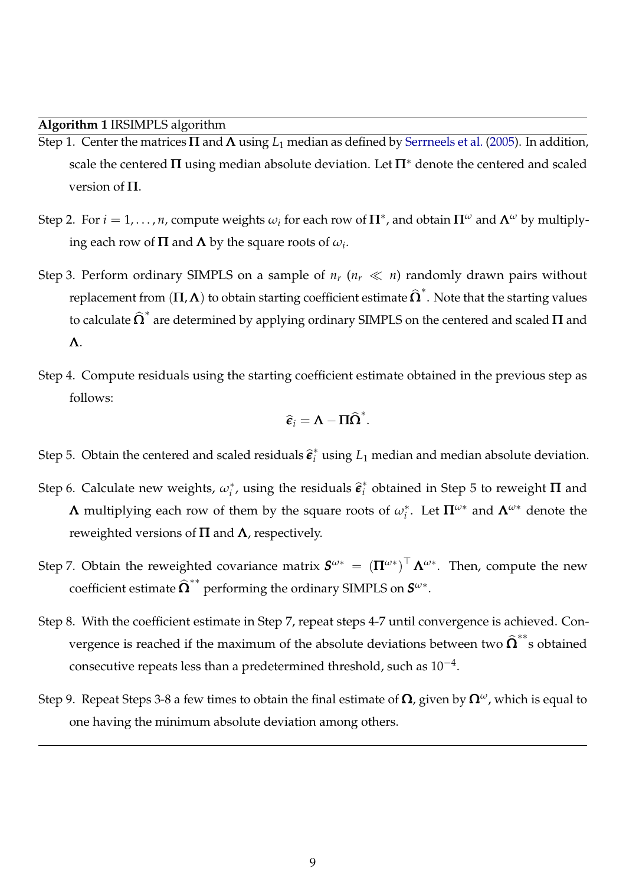**Algorithm 1** IRSIMPLS algorithm

- Step 1. Center the matrices Π and Λ using *L*<sup>1</sup> median as defined by [Serrneels et al.](#page-25-12) [\(2005\)](#page-25-12). In addition, scale the centered  $\Pi$  using median absolute deviation. Let  $\Pi^*$  denote the centered and scaled version of Π.
- Step 2. For  $i = 1, ..., n$ , compute weights  $\omega_i$  for each row of  $\Pi^*$ , and obtain  $\Pi^\omega$  and  $\mathbf{\Lambda}^\omega$  by multiplying each row of  $\Pi$  and  $\Lambda$  by the square roots of  $\omega_i$ .
- Step 3. Perform ordinary SIMPLS on a sample of  $n_r$  ( $n_r \ll n$ ) randomly drawn pairs without replacement from  $(\Pi,\Lambda)$  to obtain starting coefficient estimate  $\widehat{\Omega}^*.$  Note that the starting values to calculate  $\widehat{\bm{\Omega}}^*$  are determined by applying ordinary SIMPLS on the centered and scaled  $\Pi$  and Λ.
- Step 4. Compute residuals using the starting coefficient estimate obtained in the previous step as follows:

$$
\widehat{\boldsymbol{\epsilon}}_i = \boldsymbol{\Lambda} - \boldsymbol{\Pi} \widehat{\boldsymbol{\Omega}}^*.
$$

- Step 5. Obtain the centered and scaled residuals  $\hat{\epsilon}_i^*$  using  $L_1$  median and median absolute deviation.
- Step 6. Calculate new weights,  $\omega_i^*$ , using the residuals  $\hat{\epsilon}_i^*$  obtained in Step 5 to reweight  $\Pi$  and **Λ** multiplying each row of them by the square roots of  $ω_i^*$ . Let  $\Pi^{\omega*}$  and  $\mathbf{\Lambda}^{\omega*}$  denote the reweighted versions of  $\Pi$  and  $\Lambda$ , respectively.
- Step 7. Obtain the reweighted covariance matrix  $S^{\omega*}\ =\ (\Pi^{\omega*})^\top\, \Lambda^{\omega*}.$  Then, compute the new coefficient estimate  $\widehat{\boldsymbol{\Omega}}^{**}$  performing the ordinary SIMPLS on  $\boldsymbol{S}^{\omega*}.$
- Step 8. With the coefficient estimate in Step 7, repeat steps 4-7 until convergence is achieved. Convergence is reached if the maximum of the absolute deviations between two  $\widehat{\bm{\Omega}}^{**}$ s obtained consecutive repeats less than a predetermined threshold, such as  $10^{-4}$ .
- Step 9. Repeat Steps 3-8 a few times to obtain the final estimate of Ω, given by Ω*ω*, which is equal to one having the minimum absolute deviation among others.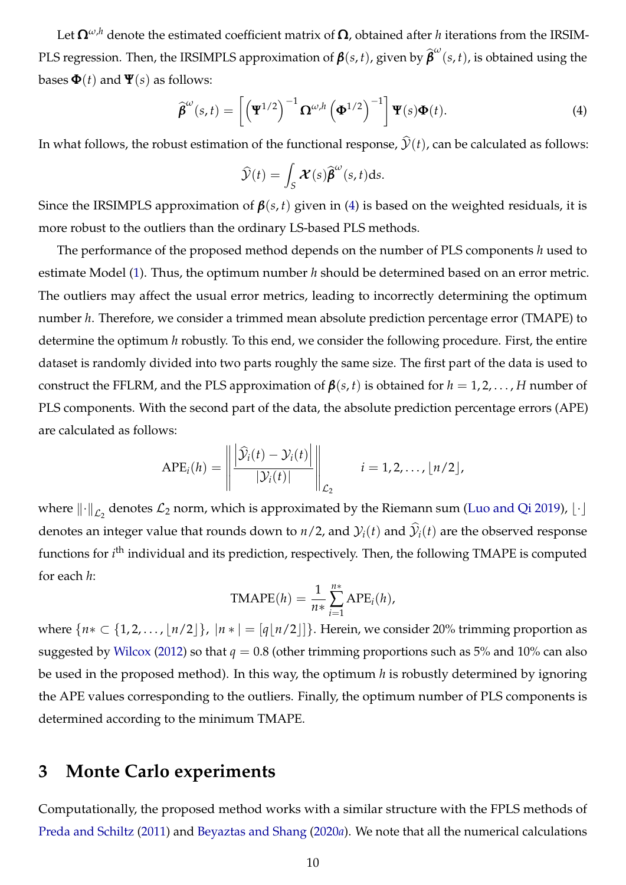Let  $\Omega^{\omega,h}$  denote the estimated coefficient matrix of  $\Omega$ , obtained after *h* iterations from the IRSIM-PLS regression. Then, the IRSIMPLS approximation of  $\pmb{\beta}(s,t)$ , given by  $\widehat{\pmb{\beta}}^{\omega}(s,t)$ , is obtained using the bases  $\Phi(t)$  and  $\Psi(s)$  as follows:

<span id="page-9-1"></span>
$$
\widehat{\boldsymbol{\beta}}^{\omega}(s,t) = \left[ \left( \mathbf{\Psi}^{1/2} \right)^{-1} \mathbf{\Omega}^{\omega,h} \left( \mathbf{\Phi}^{1/2} \right)^{-1} \right] \mathbf{\Psi}(s) \mathbf{\Phi}(t). \tag{4}
$$

In what follows, the robust estimation of the functional response,  $\hat{y}(t)$ , can be calculated as follows:

$$
\widehat{\mathcal{Y}}(t) = \int_{S} \mathcal{X}(s) \widehat{\boldsymbol{\beta}}^{\omega}(s,t) \mathrm{d}s.
$$

Since the IRSIMPLS approximation of *β*(*s*, *t*) given in [\(4\)](#page-9-1) is based on the weighted residuals, it is more robust to the outliers than the ordinary LS-based PLS methods.

The performance of the proposed method depends on the number of PLS components *h* used to estimate Model [\(1\)](#page-4-1). Thus, the optimum number *h* should be determined based on an error metric. The outliers may affect the usual error metrics, leading to incorrectly determining the optimum number *h*. Therefore, we consider a trimmed mean absolute prediction percentage error (TMAPE) to determine the optimum *h* robustly. To this end, we consider the following procedure. First, the entire dataset is randomly divided into two parts roughly the same size. The first part of the data is used to construct the FFLRM, and the PLS approximation of  $\beta(s, t)$  is obtained for  $h = 1, 2, \ldots, H$  number of PLS components. With the second part of the data, the absolute prediction percentage errors (APE) are calculated as follows:

$$
APE_i(h) = \left\| \frac{\left| \hat{\mathcal{Y}}_i(t) - \mathcal{Y}_i(t) \right|}{\left| \mathcal{Y}_i(t) \right|} \right\|_{\mathcal{L}_2} \qquad i = 1, 2, \ldots, \lfloor n/2 \rfloor,
$$

where  $\left\Vert \cdot\right\Vert _{\mathcal{L}_{2}}$  denotes  $\mathcal{L}_{2}$  norm, which is approximated by the Riemann sum [\(Luo and Qi](#page-24-11) [2019\)](#page-24-11),  $\lfloor\cdot\rfloor$ denotes an integer value that rounds down to  $n/2$ , and  $\mathcal{Y}_i(t)$  and  $\mathcal{Y}_i(t)$  are the observed response functions for *i*<sup>th</sup> individual and its prediction, respectively. Then, the following TMAPE is computed for each *h*:

$$
TMAPE(h) = \frac{1}{n*} \sum_{i=1}^{n*} APE_i(h),
$$

where  $\{n \in \{1, 2, ..., |n/2|\}, |n \times| = |q|n/2|\}.$  Herein, we consider 20% trimming proportion as suggested by [Wilcox](#page-25-14) [\(2012\)](#page-25-14) so that  $q = 0.8$  (other trimming proportions such as 5% and 10% can also be used in the proposed method). In this way, the optimum *h* is robustly determined by ignoring the APE values corresponding to the outliers. Finally, the optimum number of PLS components is determined according to the minimum TMAPE.

#### <span id="page-9-0"></span>**3 Monte Carlo experiments**

Computationally, the proposed method works with a similar structure with the FPLS methods of [Preda and Schiltz](#page-25-6) [\(2011\)](#page-25-6) and [Beyaztas and Shang](#page-22-3) [\(2020](#page-22-3)*a*). We note that all the numerical calculations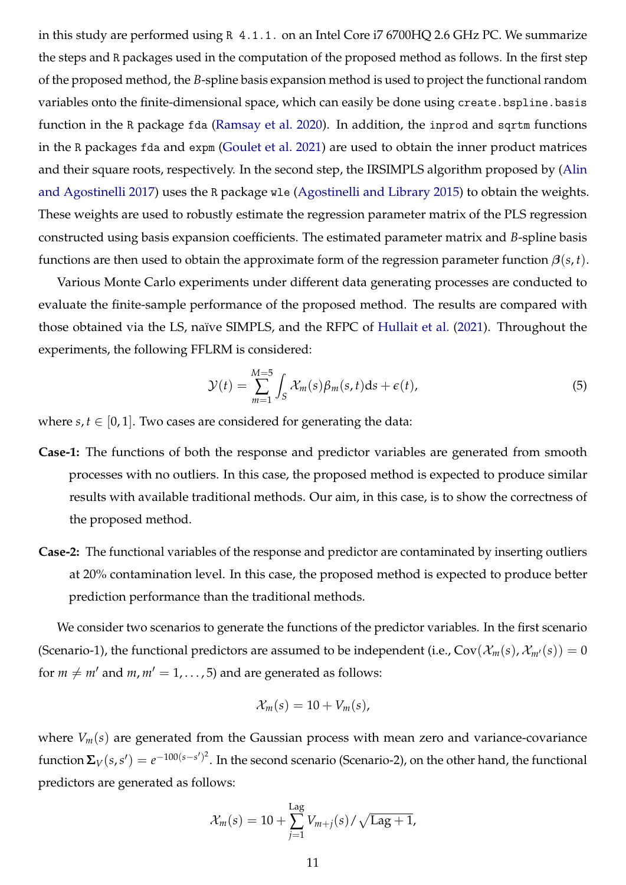in this study are performed using R 4.1.1. on an Intel Core i7 6700HQ 2.6 GHz PC. We summarize the steps and R packages used in the computation of the proposed method as follows. In the first step of the proposed method, the *B*-spline basis expansion method is used to project the functional random variables onto the finite-dimensional space, which can easily be done using create.bspline.basis function in the R package fda [\(Ramsay et al.](#page-25-15) [2020\)](#page-25-15). In addition, the inprod and sqrtm functions in the R packages fda and expm [\(Goulet et al.](#page-23-13) [2021\)](#page-23-13) are used to obtain the inner product matrices and their square roots, respectively. In the second step, the IRSIMPLS algorithm proposed by [\(Alin](#page-22-9) [and Agostinelli](#page-22-9) [2017\)](#page-22-9) uses the R package wle [\(Agostinelli and Library](#page-22-10) [2015\)](#page-22-10) to obtain the weights. These weights are used to robustly estimate the regression parameter matrix of the PLS regression constructed using basis expansion coefficients. The estimated parameter matrix and *B*-spline basis functions are then used to obtain the approximate form of the regression parameter function  $\beta(s, t)$ .

Various Monte Carlo experiments under different data generating processes are conducted to evaluate the finite-sample performance of the proposed method. The results are compared with those obtained via the LS, naïve SIMPLS, and the RFPC of [Hullait et al.](#page-23-8) [\(2021\)](#page-23-8). Throughout the experiments, the following FFLRM is considered:

<span id="page-10-0"></span>
$$
\mathcal{Y}(t) = \sum_{m=1}^{M=5} \int_{S} \mathcal{X}_m(s) \beta_m(s, t) \mathrm{d}s + \epsilon(t), \tag{5}
$$

where  $s, t \in [0, 1]$ . Two cases are considered for generating the data:

- **Case-1:** The functions of both the response and predictor variables are generated from smooth processes with no outliers. In this case, the proposed method is expected to produce similar results with available traditional methods. Our aim, in this case, is to show the correctness of the proposed method.
- **Case-2:** The functional variables of the response and predictor are contaminated by inserting outliers at 20% contamination level. In this case, the proposed method is expected to produce better prediction performance than the traditional methods.

We consider two scenarios to generate the functions of the predictor variables. In the first scenario (Scenario-1), the functional predictors are assumed to be independent (i.e.,  $Cov(\mathcal{X}_m(s), \mathcal{X}_{m'}(s)) = 0$ for  $m \neq m'$  and  $m, m' = 1, \ldots, 5$  and are generated as follows:

$$
\mathcal{X}_m(s)=10+V_m(s),
$$

where  $V_m(s)$  are generated from the Gaussian process with mean zero and variance-covariance function  $\bm{\Sigma}_V(s,s')=e^{-100(s-s')^2}.$  In the second scenario (Scenario-2), on the other hand, the functional predictors are generated as follows:

$$
\mathcal{X}_m(s) = 10 + \sum_{j=1}^{\text{Lag}} V_{m+j}(s) / \sqrt{\text{Lag} + 1},
$$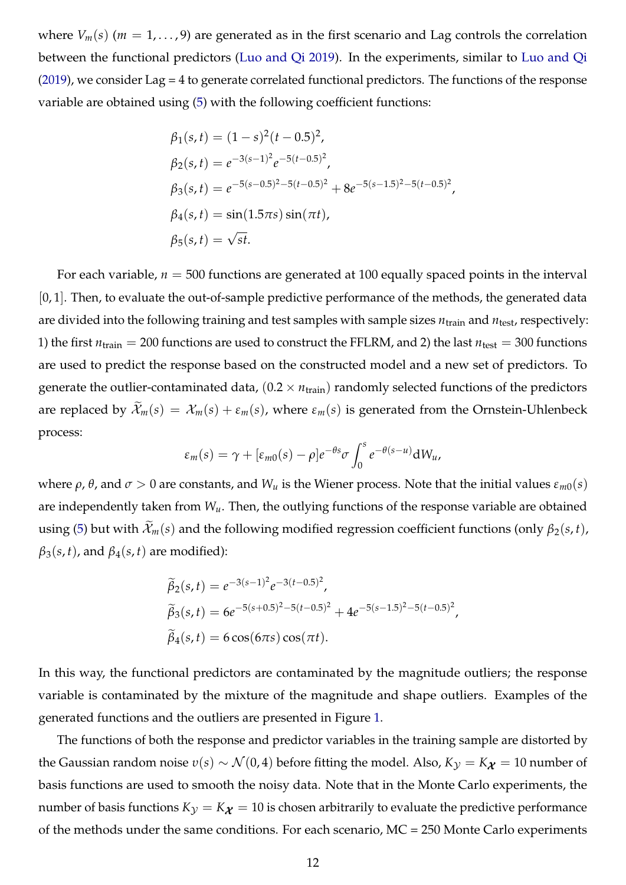where  $V_m(s)$  ( $m = 1, \ldots, 9$ ) are generated as in the first scenario and Lag controls the correlation between the functional predictors [\(Luo and Qi](#page-24-11) [2019\)](#page-24-11). In the experiments, similar to [Luo and Qi](#page-24-11) [\(2019\)](#page-24-11), we consider Lag = 4 to generate correlated functional predictors. The functions of the response variable are obtained using [\(5\)](#page-10-0) with the following coefficient functions:

$$
\beta_1(s,t) = (1-s)^2(t-0.5)^2,
$$
  
\n
$$
\beta_2(s,t) = e^{-3(s-1)^2}e^{-5(t-0.5)^2},
$$
  
\n
$$
\beta_3(s,t) = e^{-5(s-0.5)^2-5(t-0.5)^2} + 8e^{-5(s-1.5)^2-5(t-0.5)^2},
$$
  
\n
$$
\beta_4(s,t) = \sin(1.5\pi s)\sin(\pi t),
$$
  
\n
$$
\beta_5(s,t) = \sqrt{st}.
$$

For each variable,  $n = 500$  functions are generated at 100 equally spaced points in the interval [0, 1]. Then, to evaluate the out-of-sample predictive performance of the methods, the generated data are divided into the following training and test samples with sample sizes  $n_{\text{train}}$  and  $n_{\text{test}}$ , respectively: 1) the first  $n_{\text{train}} = 200$  functions are used to construct the FFLRM, and 2) the last  $n_{\text{test}} = 300$  functions are used to predict the response based on the constructed model and a new set of predictors. To generate the outlier-contaminated data,  $(0.2 \times n_{\text{train}})$  randomly selected functions of the predictors are replaced by  $\widetilde{\mathcal{X}}_m(s) = \mathcal{X}_m(s) + \varepsilon_m(s)$ , where  $\varepsilon_m(s)$  is generated from the Ornstein-Uhlenbeck process:

$$
\varepsilon_m(s) = \gamma + [\varepsilon_{m0}(s) - \rho]e^{-\theta s}\sigma \int_0^s e^{-\theta(s-u)} dW_u,
$$

where *ρ*, *θ*, and *σ* > 0 are constants, and  $W_u$  is the Wiener process. Note that the initial values  $ε_{m0}(s)$ are independently taken from *Wu*. Then, the outlying functions of the response variable are obtained using [\(5\)](#page-10-0) but with  $\widetilde{\mathcal{X}}_m(s)$  and the following modified regression coefficient functions (only  $\beta_2(s,t)$ ,  $\beta_3(s,t)$ , and  $\beta_4(s,t)$  are modified):

$$
\widetilde{\beta}_2(s,t) = e^{-3(s-1)^2} e^{-3(t-0.5)^2},
$$
\n
$$
\widetilde{\beta}_3(s,t) = 6e^{-5(s+0.5)^2 - 5(t-0.5)^2} + 4e^{-5(s-1.5)^2 - 5(t-0.5)^2},
$$
\n
$$
\widetilde{\beta}_4(s,t) = 6\cos(6\pi s)\cos(\pi t).
$$

In this way, the functional predictors are contaminated by the magnitude outliers; the response variable is contaminated by the mixture of the magnitude and shape outliers. Examples of the generated functions and the outliers are presented in Figure [1.](#page-12-0)

The functions of both the response and predictor variables in the training sample are distorted by the Gaussian random noise  $v(s) \sim \mathcal{N}(0, 4)$  before fitting the model. Also,  $K_{\mathcal{Y}} = K_{\mathcal{X}} = 10$  number of basis functions are used to smooth the noisy data. Note that in the Monte Carlo experiments, the number of basis functions  $K_y = K_x = 10$  is chosen arbitrarily to evaluate the predictive performance of the methods under the same conditions. For each scenario, MC = 250 Monte Carlo experiments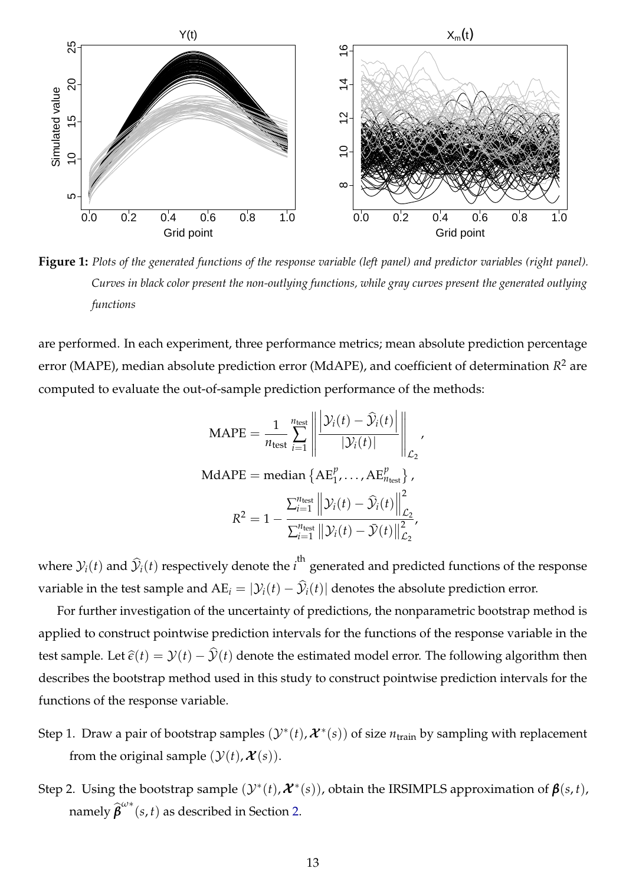<span id="page-12-0"></span>

**Figure 1:** *Plots of the generated functions of the response variable (left panel) and predictor variables (right panel). Curves in black color present the non-outlying functions, while gray curves present the generated outlying functions*

are performed. In each experiment, three performance metrics; mean absolute prediction percentage error (MAPE), median absolute prediction error (MdAPE), and coefficient of determination *R* <sup>2</sup> are computed to evaluate the out-of-sample prediction performance of the methods:

$$
\text{MAPE} = \frac{1}{n_{\text{test}}} \sum_{i=1}^{n_{\text{test}}} \left\| \frac{\left| \mathcal{Y}_i(t) - \widehat{\mathcal{Y}}_i(t) \right|}{\left| \mathcal{Y}_i(t) \right|} \right\|_{\mathcal{L}_2},
$$

$$
\text{MdAPE} = \text{median}\left\{ \mathbf{A}\mathbf{E}_1^p, \dots, \mathbf{A}\mathbf{E}_{n_{\text{test}}}^p \right\},
$$

$$
R^2 = 1 - \frac{\sum_{i=1}^{n_{\text{test}}} \left\| \mathcal{Y}_i(t) - \widehat{\mathcal{Y}}_i(t) \right\|_{\mathcal{L}_2}^2}{\sum_{i=1}^{n_{\text{test}}} \left\| \mathcal{Y}_i(t) - \overline{\mathcal{Y}}(t) \right\|_{\mathcal{L}_2}^2},
$$

where  $\mathcal{Y}_i(t)$  and  $\widehat{\mathcal{Y}}_i(t)$  respectively denote the *i*<sup>th</sup> generated and predicted functions of the response variable in the test sample and  $AE_i = |\mathcal{Y}_i(t) - \mathcal{Y}_i(t)|$  denotes the absolute prediction error.

For further investigation of the uncertainty of predictions, the nonparametric bootstrap method is applied to construct pointwise prediction intervals for the functions of the response variable in the test sample. Let  $\hat{\epsilon}(t) = \mathcal{Y}(t) - \hat{\mathcal{Y}}(t)$  denote the estimated model error. The following algorithm then describes the bootstrap method used in this study to construct pointwise prediction intervals for the functions of the response variable.

- Step 1. Draw a pair of bootstrap samples  $(\mathcal{Y}^*(t), \mathcal{X}^*(s))$  of size  $n_{\text{train}}$  by sampling with replacement from the original sample  $(\mathcal{Y}(t), \mathcal{X}(s))$ .
- Step 2. Using the bootstrap sample  $(\mathcal{Y}^*(t), \mathcal{X}^*(s))$ , obtain the IRSIMPLS approximation of  $\pmb{\beta}(s,t)$ , namely  $\widehat{\boldsymbol{\beta}}^{\omega*}(s,t)$  as described in Section [2.](#page-4-0)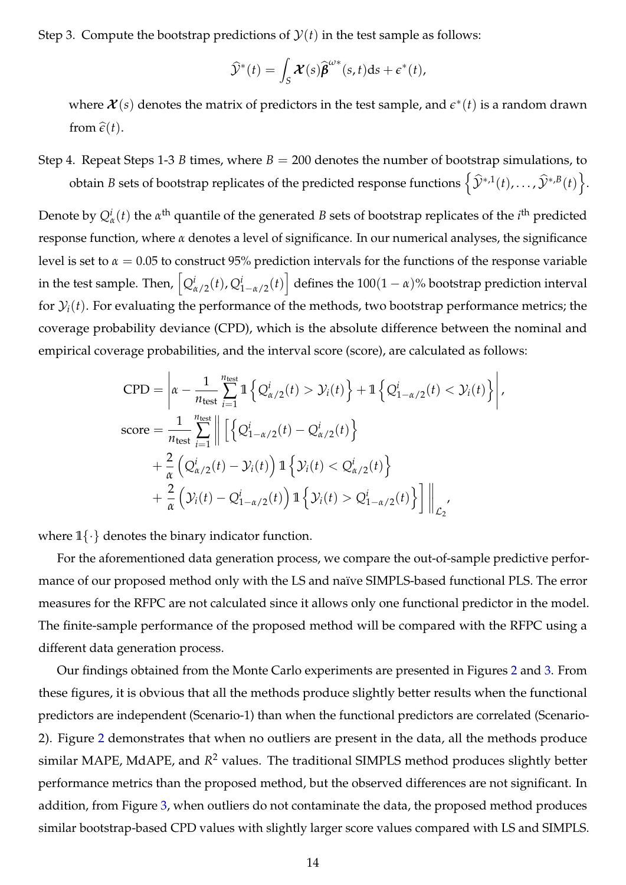Step 3. Compute the bootstrap predictions of  $\mathcal{Y}(t)$  in the test sample as follows:

$$
\widehat{\mathcal{Y}}^*(t) = \int_S \mathcal{X}(s) \widehat{\boldsymbol{\beta}}^{\omega*}(s,t) \mathrm{d}s + \epsilon^*(t),
$$

where  $\bm{\mathcal{X}}(s)$  denotes the matrix of predictors in the test sample, and  $\bm{\epsilon}^*(t)$  is a random drawn from  $\hat{\epsilon}(t)$ .

Step 4. Repeat Steps 1-3 *B* times, where  $B = 200$  denotes the number of bootstrap simulations, to obtain *B* sets of bootstrap replicates of the predicted response functions  $\left\{\widehat{Y}^{*,1}(t),\ldots,\widehat{Y}^{*,B}(t)\right\}$ .

Denote by  $Q^i_\alpha(t)$  the  $\alpha^{\text{th}}$  quantile of the generated *B* sets of bootstrap replicates of the *i*<sup>th</sup> predicted response function, where *α* denotes a level of significance. In our numerical analyses, the significance level is set to  $\alpha = 0.05$  to construct 95% prediction intervals for the functions of the response variable in the test sample. Then,  $\left[Q^i_{\alpha/2}(t), Q^i_{1-\alpha/2}(t)\right]$  defines the 100 $(1-\alpha)$ % bootstrap prediction interval for  $\mathcal{Y}_i(t)$ . For evaluating the performance of the methods, two bootstrap performance metrics; the coverage probability deviance (CPD), which is the absolute difference between the nominal and empirical coverage probabilities, and the interval score (score), are calculated as follows:

$$
CPD = \left| \alpha - \frac{1}{n_{\text{test}}} \sum_{i=1}^{n_{\text{test}}} \mathbb{1} \left\{ Q_{\alpha/2}^i(t) > \mathcal{Y}_i(t) \right\} + \mathbb{1} \left\{ Q_{1-\alpha/2}^i(t) < \mathcal{Y}_i(t) \right\} \right|
$$
  
\n
$$
\text{score} = \frac{1}{n_{\text{test}}} \sum_{i=1}^{n_{\text{test}}} \left\| \left[ \left\{ Q_{1-\alpha/2}^i(t) - Q_{\alpha/2}^i(t) \right\} + \frac{2}{\alpha} \left( Q_{\alpha/2}^i(t) - \mathcal{Y}_i(t) \right) \mathbb{1} \left\{ \mathcal{Y}_i(t) < Q_{\alpha/2}^i(t) \right\} \right] + \frac{2}{\alpha} \left( \mathcal{Y}_i(t) - Q_{1-\alpha/2}^i(t) \right) \mathbb{1} \left\{ \mathcal{Y}_i(t) > Q_{1-\alpha/2}^i(t) \right\} \right] \bigg\|_{\mathcal{L}_2},
$$

,

where  $\mathbb{1}\{\cdot\}$  denotes the binary indicator function.

For the aforementioned data generation process, we compare the out-of-sample predictive performance of our proposed method only with the LS and naïve SIMPLS-based functional PLS. The error measures for the RFPC are not calculated since it allows only one functional predictor in the model. The finite-sample performance of the proposed method will be compared with the RFPC using a different data generation process.

Our findings obtained from the Monte Carlo experiments are presented in Figures [2](#page-14-0) and [3.](#page-15-0) From these figures, it is obvious that all the methods produce slightly better results when the functional predictors are independent (Scenario-1) than when the functional predictors are correlated (Scenario-2). Figure [2](#page-14-0) demonstrates that when no outliers are present in the data, all the methods produce similar MAPE, MdAPE, and *R* <sup>2</sup> values. The traditional SIMPLS method produces slightly better performance metrics than the proposed method, but the observed differences are not significant. In addition, from Figure [3,](#page-15-0) when outliers do not contaminate the data, the proposed method produces similar bootstrap-based CPD values with slightly larger score values compared with LS and SIMPLS.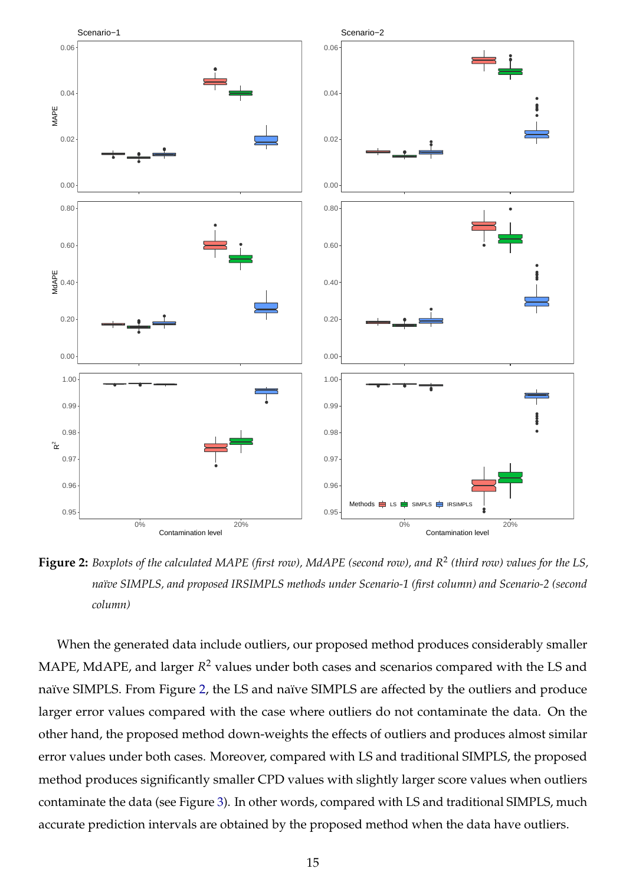<span id="page-14-0"></span>

**Figure 2:** *Boxplots of the calculated MAPE (first row), MdAPE (second row), and R* 2 *(third row) values for the LS, na¨ıve SIMPLS, and proposed IRSIMPLS methods under Scenario-1 (first column) and Scenario-2 (second column)*

When the generated data include outliers, our proposed method produces considerably smaller MAPE, MdAPE, and larger *R* <sup>2</sup> values under both cases and scenarios compared with the LS and naïve SIMPLS. From Figure [2,](#page-14-0) the LS and naïve SIMPLS are affected by the outliers and produce larger error values compared with the case where outliers do not contaminate the data. On the other hand, the proposed method down-weights the effects of outliers and produces almost similar error values under both cases. Moreover, compared with LS and traditional SIMPLS, the proposed method produces significantly smaller CPD values with slightly larger score values when outliers contaminate the data (see Figure [3\)](#page-15-0). In other words, compared with LS and traditional SIMPLS, much accurate prediction intervals are obtained by the proposed method when the data have outliers.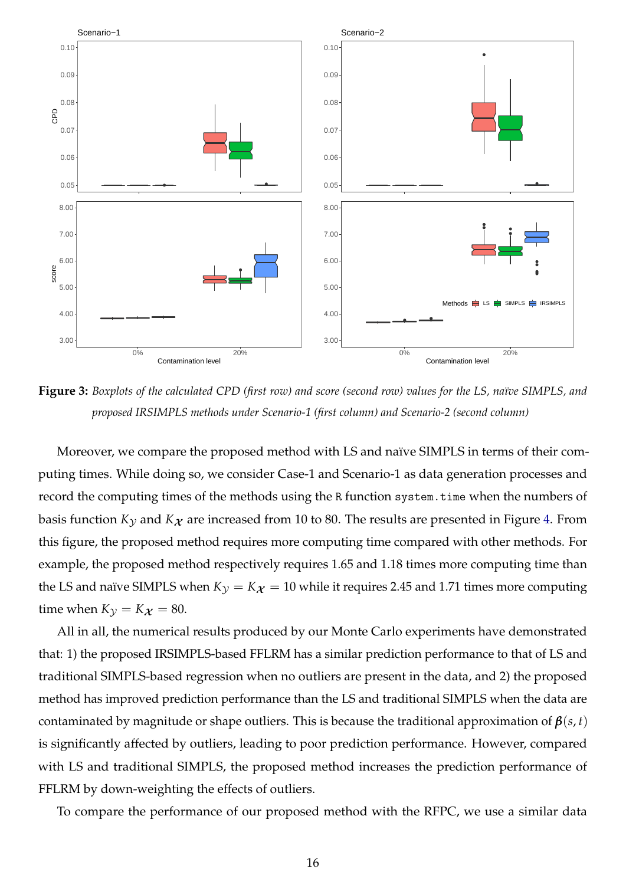<span id="page-15-0"></span>

Figure 3: Boxplots of the calculated CPD (first row) and score (second row) values for the LS, naïve SIMPLS, and *proposed IRSIMPLS methods under Scenario-1 (first column) and Scenario-2 (second column)*

Moreover, we compare the proposed method with LS and naïve SIMPLS in terms of their computing times. While doing so, we consider Case-1 and Scenario-1 as data generation processes and record the computing times of the methods using the R function system.time when the numbers of basis function  $K<sub>y</sub>$  and  $K<sub>x</sub>$  are increased from 10 to 80. The results are presented in Figure [4.](#page-16-0) From this figure, the proposed method requires more computing time compared with other methods. For example, the proposed method respectively requires 1.65 and 1.18 times more computing time than the LS and naïve SIMPLS when  $K_y = K_x = 10$  while it requires 2.45 and 1.71 times more computing time when  $K_{\gamma} = K_{\chi} = 80$ .

All in all, the numerical results produced by our Monte Carlo experiments have demonstrated that: 1) the proposed IRSIMPLS-based FFLRM has a similar prediction performance to that of LS and traditional SIMPLS-based regression when no outliers are present in the data, and 2) the proposed method has improved prediction performance than the LS and traditional SIMPLS when the data are contaminated by magnitude or shape outliers. This is because the traditional approximation of *β*(*s*, *t*) is significantly affected by outliers, leading to poor prediction performance. However, compared with LS and traditional SIMPLS, the proposed method increases the prediction performance of FFLRM by down-weighting the effects of outliers.

To compare the performance of our proposed method with the RFPC, we use a similar data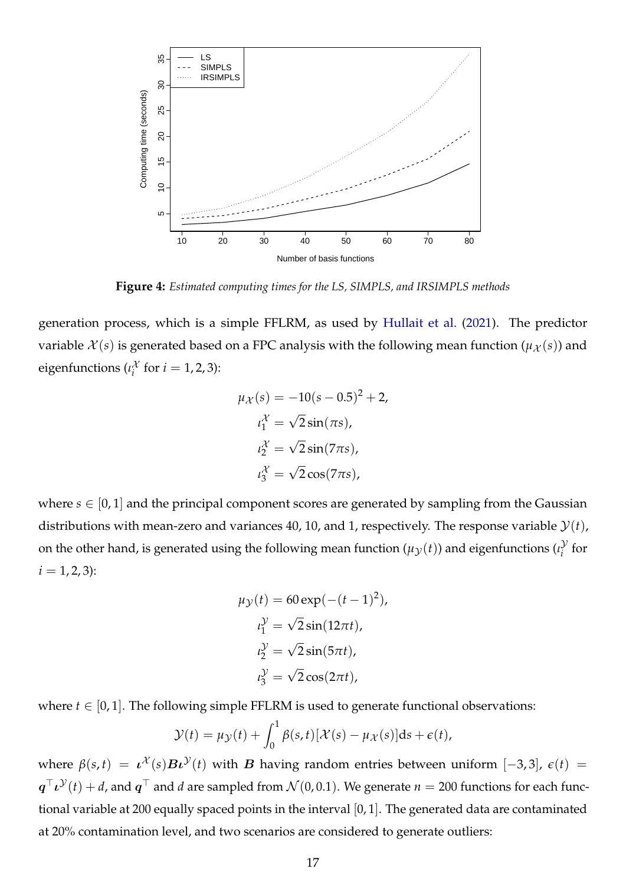<span id="page-16-0"></span>

**Figure 4:** *Estimated computing times for the LS, SIMPLS, and IRSIMPLS methods*

generation process, which is a simple FFLRM, as used by [Hullait et al.](#page-23-8) [\(2021\)](#page-23-8). The predictor variable  $\mathcal{X}(s)$  is generated based on a FPC analysis with the following mean function ( $\mu_{\mathcal{X}}(s)$ ) and eigenfunctions (*ι*<sup>λ</sup>  $i<sup>k</sup>$  for *i* = 1, 2, 3):

$$
\mu_{\mathcal{X}}(s) = -10(s - 0.5)^{2} + 2,
$$
  
\n
$$
\iota_{1}^{\mathcal{X}} = \sqrt{2} \sin(\pi s),
$$
  
\n
$$
\iota_{2}^{\mathcal{X}} = \sqrt{2} \sin(7\pi s),
$$
  
\n
$$
\iota_{3}^{\mathcal{X}} = \sqrt{2} \cos(7\pi s),
$$

where  $s \in [0, 1]$  and the principal component scores are generated by sampling from the Gaussian distributions with mean-zero and variances 40, 10, and 1, respectively. The response variable  $\mathcal{Y}(t)$ , on the other hand, is generated using the following mean function  $(\mu_{\mathcal{Y}}(t))$  and eigenfunctions  $(\iota_i^{\mathcal{Y}})$  $\int_{i}^{V}$  for  $i = 1, 2, 3$ :

$$
\mu_{\mathcal{Y}}(t) = 60 \exp(-(t-1)^2),
$$
  
\n
$$
\iota_1^{\mathcal{Y}} = \sqrt{2} \sin(12\pi t),
$$
  
\n
$$
\iota_2^{\mathcal{Y}} = \sqrt{2} \sin(5\pi t),
$$
  
\n
$$
\iota_3^{\mathcal{Y}} = \sqrt{2} \cos(2\pi t),
$$

where  $t \in [0, 1]$ . The following simple FFLRM is used to generate functional observations:

$$
\mathcal{Y}(t) = \mu_{\mathcal{Y}}(t) + \int_0^1 \beta(s,t) [\mathcal{X}(s) - \mu_{\mathcal{X}}(s)] ds + \epsilon(t),
$$

where  $\beta(s,t)~=~\boldsymbol{\iota}^{\mathcal{X}}(s)\boldsymbol{B}\boldsymbol{\iota}^{\mathcal{Y}}(t)$  with  $\boldsymbol{B}$  having random entries between uniform  $[-3,3]$ ,  $\boldsymbol{\epsilon}(t)~=~$  $\bm{q}^\top\bm{\iota}^\mathcal{Y}(t) + d$ , and  $\bm{q}^\top$  and  $d$  are sampled from  $\mathcal{N}(0,0.1)$ . We generate  $n=200$  functions for each functional variable at 200 equally spaced points in the interval [0, 1]. The generated data are contaminated at 20% contamination level, and two scenarios are considered to generate outliers: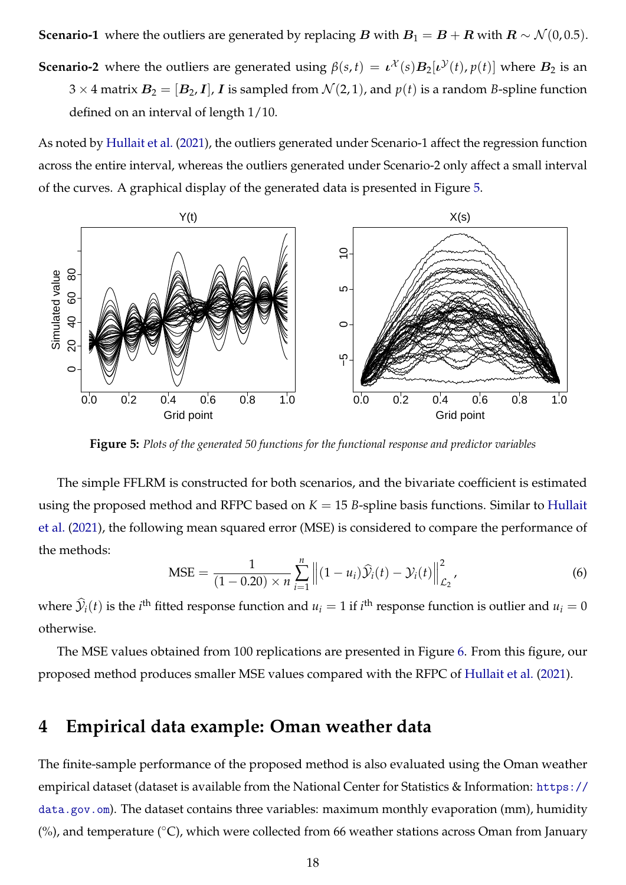**Scenario-1** where the outliers are generated by replacing B with  $B_1 = B + R$  with  $R \sim \mathcal{N}(0, 0.5)$ .

**Scenario-2** where the outliers are generated using  $\beta(s,t) = \iota^{\mathcal{X}}(s)B_2[\iota^{\mathcal{Y}}(t), p(t)]$  where  $B_2$  is an  $3 \times 4$  matrix  $B_2 = [B_2, I]$ , *I* is sampled from  $\mathcal{N}(2, 1)$ , and  $p(t)$  is a random *B*-spline function defined on an interval of length 1/10.

As noted by [Hullait et al.](#page-23-8) [\(2021\)](#page-23-8), the outliers generated under Scenario-1 affect the regression function across the entire interval, whereas the outliers generated under Scenario-2 only affect a small interval of the curves. A graphical display of the generated data is presented in Figure [5.](#page-17-1)

<span id="page-17-1"></span>

**Figure 5:** *Plots of the generated 50 functions for the functional response and predictor variables*

The simple FFLRM is constructed for both scenarios, and the bivariate coefficient is estimated using the proposed method and RFPC based on  $K = 15$  *B*-spline basis functions. Similar to [Hullait](#page-23-8) [et al.](#page-23-8) [\(2021\)](#page-23-8), the following mean squared error (MSE) is considered to compare the performance of the methods:

<span id="page-17-2"></span>
$$
\text{MSE} = \frac{1}{(1 - 0.20) \times n} \sum_{i=1}^{n} \left\| (1 - u_i) \widehat{y}_i(t) - \mathcal{Y}_i(t) \right\|_{\mathcal{L}_2}^2,
$$
(6)

where  $\hat{Y}_i(t)$  is the *i*<sup>th</sup> fitted response function and  $u_i = 1$  if *i*<sup>th</sup> response function is outlier and  $u_i = 0$ otherwise.

The MSE values obtained from 100 replications are presented in Figure [6.](#page-18-0) From this figure, our proposed method produces smaller MSE values compared with the RFPC of [Hullait et al.](#page-23-8) [\(2021\)](#page-23-8).

# <span id="page-17-0"></span>**4 Empirical data example: Oman weather data**

The finite-sample performance of the proposed method is also evaluated using the Oman weather empirical dataset (dataset is available from the National Center for Statistics & Information: [https://](https://data.gov.om) [data.gov.om](https://data.gov.om)). The dataset contains three variables: maximum monthly evaporation (mm), humidity (%), and temperature ( $\rm{°C}$ ), which were collected from 66 weather stations across Oman from January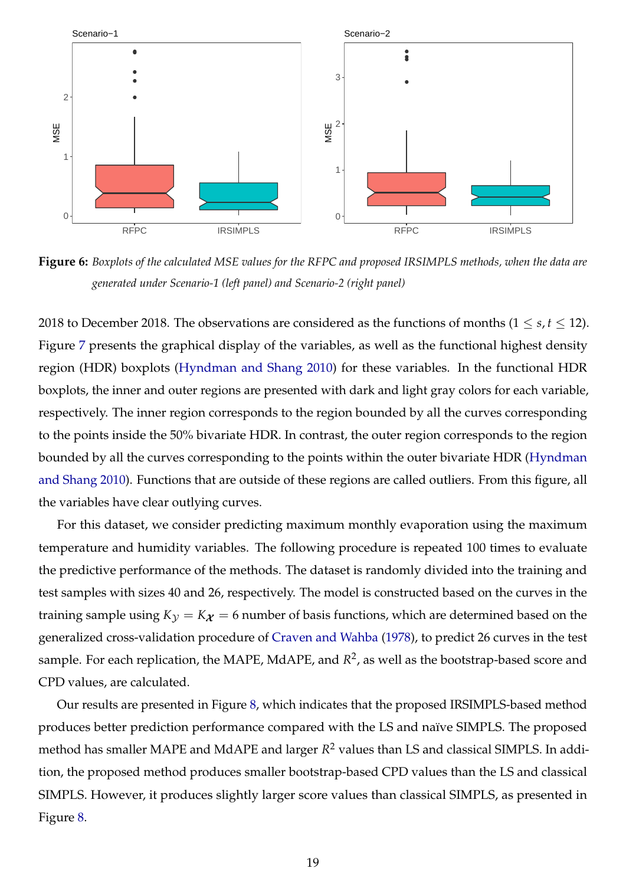<span id="page-18-0"></span>

**Figure 6:** *Boxplots of the calculated MSE values for the RFPC and proposed IRSIMPLS methods, when the data are generated under Scenario-1 (left panel) and Scenario-2 (right panel)*

2018 to December 2018. The observations are considered as the functions of months  $(1 \leq s, t \leq 12)$ . Figure [7](#page-19-0) presents the graphical display of the variables, as well as the functional highest density region (HDR) boxplots [\(Hyndman and Shang](#page-24-12) [2010\)](#page-24-12) for these variables. In the functional HDR boxplots, the inner and outer regions are presented with dark and light gray colors for each variable, respectively. The inner region corresponds to the region bounded by all the curves corresponding to the points inside the 50% bivariate HDR. In contrast, the outer region corresponds to the region bounded by all the curves corresponding to the points within the outer bivariate HDR [\(Hyndman](#page-24-12) [and Shang](#page-24-12) [2010\)](#page-24-12). Functions that are outside of these regions are called outliers. From this figure, all the variables have clear outlying curves.

For this dataset, we consider predicting maximum monthly evaporation using the maximum temperature and humidity variables. The following procedure is repeated 100 times to evaluate the predictive performance of the methods. The dataset is randomly divided into the training and test samples with sizes 40 and 26, respectively. The model is constructed based on the curves in the training sample using  $K_y = K_x = 6$  number of basis functions, which are determined based on the generalized cross-validation procedure of [Craven and Wahba](#page-22-11) [\(1978\)](#page-22-11), to predict 26 curves in the test sample. For each replication, the MAPE, MdAPE, and *R* 2 , as well as the bootstrap-based score and CPD values, are calculated.

Our results are presented in Figure [8,](#page-19-1) which indicates that the proposed IRSIMPLS-based method produces better prediction performance compared with the LS and naïve SIMPLS. The proposed method has smaller MAPE and MdAPE and larger *R* <sup>2</sup> values than LS and classical SIMPLS. In addition, the proposed method produces smaller bootstrap-based CPD values than the LS and classical SIMPLS. However, it produces slightly larger score values than classical SIMPLS, as presented in Figure [8.](#page-19-1)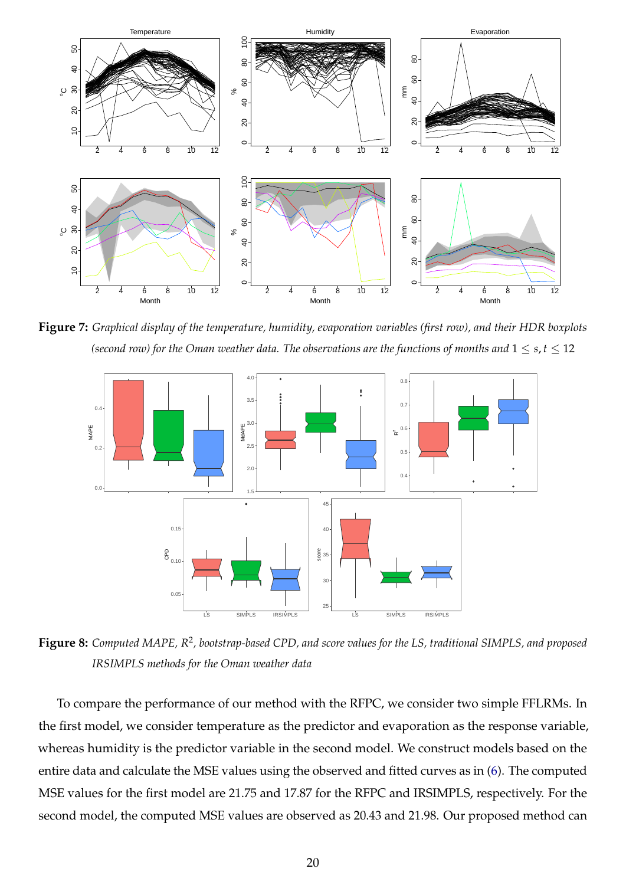<span id="page-19-0"></span>

**Figure 7:** *Graphical display of the temperature, humidity, evaporation variables (first row), and their HDR boxplots (second row) for the Oman weather data. The observations are the functions of months and*  $1 \leq s, t \leq 12$ 

<span id="page-19-1"></span>

**Figure 8:** Computed MAPE, R<sup>2</sup>, bootstrap-based CPD, and score values for the LS, traditional SIMPLS, and proposed *IRSIMPLS methods for the Oman weather data*

To compare the performance of our method with the RFPC, we consider two simple FFLRMs. In the first model, we consider temperature as the predictor and evaporation as the response variable, whereas humidity is the predictor variable in the second model. We construct models based on the entire data and calculate the MSE values using the observed and fitted curves as in [\(6\)](#page-17-2). The computed MSE values for the first model are 21.75 and 17.87 for the RFPC and IRSIMPLS, respectively. For the second model, the computed MSE values are observed as 20.43 and 21.98. Our proposed method can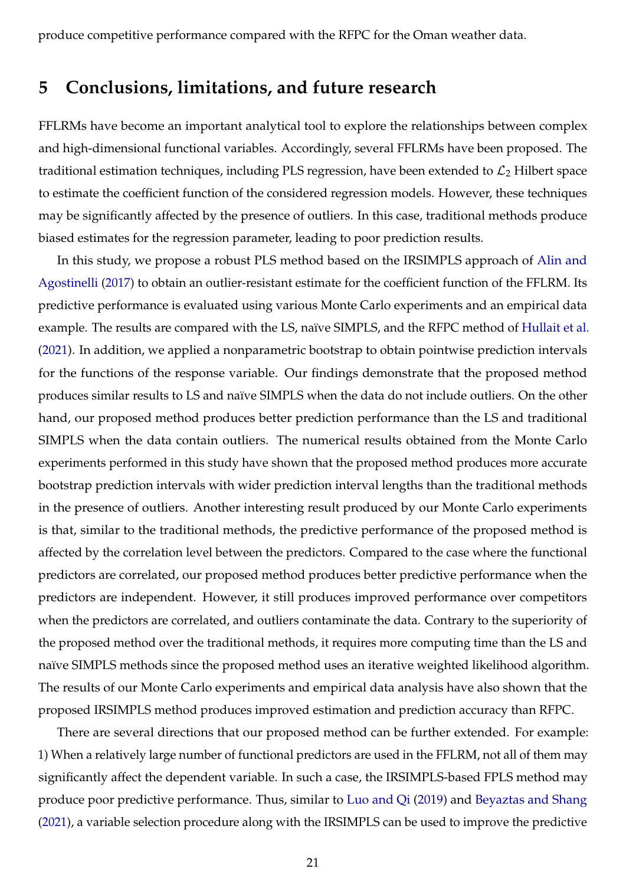### <span id="page-20-0"></span>**5 Conclusions, limitations, and future research**

FFLRMs have become an important analytical tool to explore the relationships between complex and high-dimensional functional variables. Accordingly, several FFLRMs have been proposed. The traditional estimation techniques, including PLS regression, have been extended to  $\mathcal{L}_2$  Hilbert space to estimate the coefficient function of the considered regression models. However, these techniques may be significantly affected by the presence of outliers. In this case, traditional methods produce biased estimates for the regression parameter, leading to poor prediction results.

In this study, we propose a robust PLS method based on the IRSIMPLS approach of [Alin and](#page-22-9) [Agostinelli](#page-22-9) [\(2017\)](#page-22-9) to obtain an outlier-resistant estimate for the coefficient function of the FFLRM. Its predictive performance is evaluated using various Monte Carlo experiments and an empirical data example. The results are compared with the LS, naïve SIMPLS, and the RFPC method of [Hullait et al.](#page-23-8) [\(2021\)](#page-23-8). In addition, we applied a nonparametric bootstrap to obtain pointwise prediction intervals for the functions of the response variable. Our findings demonstrate that the proposed method produces similar results to LS and naïve SIMPLS when the data do not include outliers. On the other hand, our proposed method produces better prediction performance than the LS and traditional SIMPLS when the data contain outliers. The numerical results obtained from the Monte Carlo experiments performed in this study have shown that the proposed method produces more accurate bootstrap prediction intervals with wider prediction interval lengths than the traditional methods in the presence of outliers. Another interesting result produced by our Monte Carlo experiments is that, similar to the traditional methods, the predictive performance of the proposed method is affected by the correlation level between the predictors. Compared to the case where the functional predictors are correlated, our proposed method produces better predictive performance when the predictors are independent. However, it still produces improved performance over competitors when the predictors are correlated, and outliers contaminate the data. Contrary to the superiority of the proposed method over the traditional methods, it requires more computing time than the LS and naïve SIMPLS methods since the proposed method uses an iterative weighted likelihood algorithm. The results of our Monte Carlo experiments and empirical data analysis have also shown that the proposed IRSIMPLS method produces improved estimation and prediction accuracy than RFPC.

There are several directions that our proposed method can be further extended. For example: 1) When a relatively large number of functional predictors are used in the FFLRM, not all of them may significantly affect the dependent variable. In such a case, the IRSIMPLS-based FPLS method may produce poor predictive performance. Thus, similar to [Luo and Qi](#page-24-11) [\(2019\)](#page-24-11) and [Beyaztas and Shang](#page-22-6) [\(2021\)](#page-22-6), a variable selection procedure along with the IRSIMPLS can be used to improve the predictive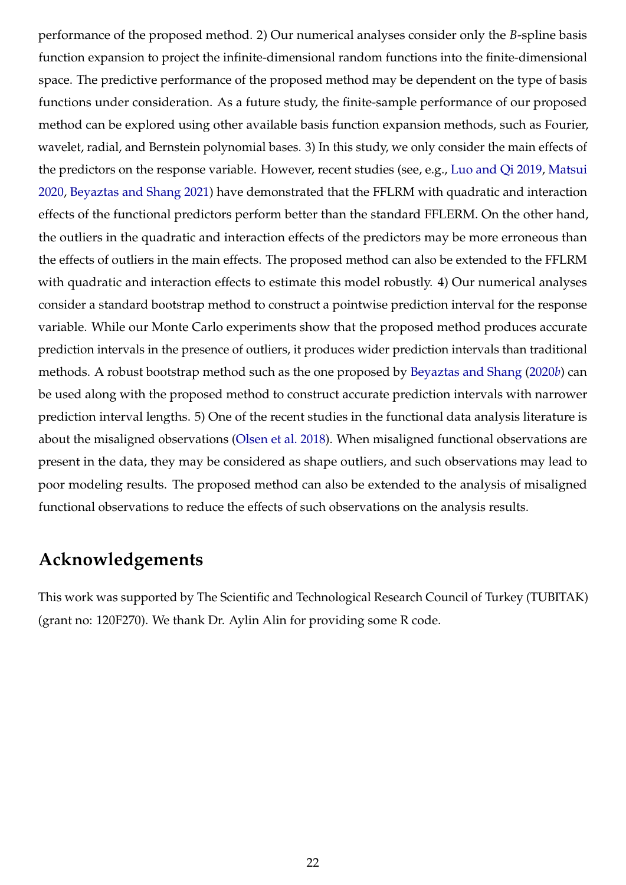performance of the proposed method. 2) Our numerical analyses consider only the *B*-spline basis function expansion to project the infinite-dimensional random functions into the finite-dimensional space. The predictive performance of the proposed method may be dependent on the type of basis functions under consideration. As a future study, the finite-sample performance of our proposed method can be explored using other available basis function expansion methods, such as Fourier, wavelet, radial, and Bernstein polynomial bases. 3) In this study, we only consider the main effects of the predictors on the response variable. However, recent studies (see, e.g., [Luo and Qi](#page-24-11) [2019,](#page-24-11) [Matsui](#page-24-13) [2020,](#page-24-13) [Beyaztas and Shang](#page-22-6) [2021\)](#page-22-6) have demonstrated that the FFLRM with quadratic and interaction effects of the functional predictors perform better than the standard FFLERM. On the other hand, the outliers in the quadratic and interaction effects of the predictors may be more erroneous than the effects of outliers in the main effects. The proposed method can also be extended to the FFLRM with quadratic and interaction effects to estimate this model robustly. 4) Our numerical analyses consider a standard bootstrap method to construct a pointwise prediction interval for the response variable. While our Monte Carlo experiments show that the proposed method produces accurate prediction intervals in the presence of outliers, it produces wider prediction intervals than traditional methods. A robust bootstrap method such as the one proposed by [Beyaztas and Shang](#page-22-12) [\(2020](#page-22-12)*b*) can be used along with the proposed method to construct accurate prediction intervals with narrower prediction interval lengths. 5) One of the recent studies in the functional data analysis literature is about the misaligned observations [\(Olsen et al.](#page-24-14) [2018\)](#page-24-14). When misaligned functional observations are present in the data, they may be considered as shape outliers, and such observations may lead to poor modeling results. The proposed method can also be extended to the analysis of misaligned functional observations to reduce the effects of such observations on the analysis results.

# **Acknowledgements**

This work was supported by The Scientific and Technological Research Council of Turkey (TUBITAK) (grant no: 120F270). We thank Dr. Aylin Alin for providing some R code.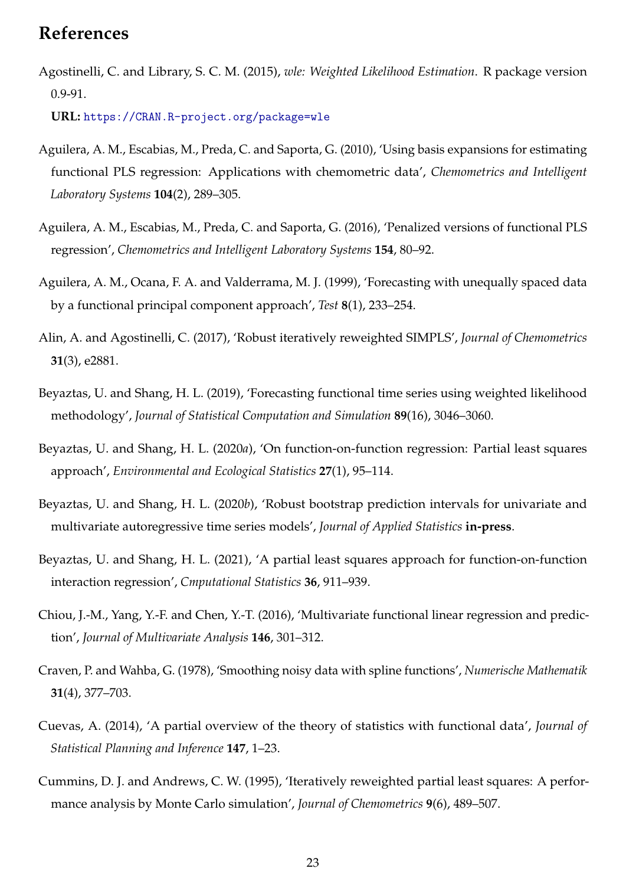# **References**

<span id="page-22-10"></span>Agostinelli, C. and Library, S. C. M. (2015), *wle: Weighted Likelihood Estimation*. R package version 0.9-91.

**URL:** <https://CRAN.R-project.org/package=wle>

- <span id="page-22-5"></span>Aguilera, A. M., Escabias, M., Preda, C. and Saporta, G. (2010), 'Using basis expansions for estimating functional PLS regression: Applications with chemometric data', *Chemometrics and Intelligent Laboratory Systems* **104**(2), 289–305.
- <span id="page-22-2"></span>Aguilera, A. M., Escabias, M., Preda, C. and Saporta, G. (2016), 'Penalized versions of functional PLS regression', *Chemometrics and Intelligent Laboratory Systems* **154**, 80–92.
- <span id="page-22-4"></span>Aguilera, A. M., Ocana, F. A. and Valderrama, M. J. (1999), 'Forecasting with unequally spaced data by a functional principal component approach', *Test* **8**(1), 233–254.
- <span id="page-22-9"></span>Alin, A. and Agostinelli, C. (2017), 'Robust iteratively reweighted SIMPLS', *Journal of Chemometrics* **31**(3), e2881.
- <span id="page-22-7"></span>Beyaztas, U. and Shang, H. L. (2019), 'Forecasting functional time series using weighted likelihood methodology', *Journal of Statistical Computation and Simulation* **89**(16), 3046–3060.
- <span id="page-22-3"></span>Beyaztas, U. and Shang, H. L. (2020*a*), 'On function-on-function regression: Partial least squares approach', *Environmental and Ecological Statistics* **27**(1), 95–114.
- <span id="page-22-12"></span>Beyaztas, U. and Shang, H. L. (2020*b*), 'Robust bootstrap prediction intervals for univariate and multivariate autoregressive time series models', *Journal of Applied Statistics* **in-press**.
- <span id="page-22-6"></span>Beyaztas, U. and Shang, H. L. (2021), 'A partial least squares approach for function-on-function interaction regression', *Cmputational Statistics* **36**, 911–939.
- <span id="page-22-1"></span>Chiou, J.-M., Yang, Y.-F. and Chen, Y.-T. (2016), 'Multivariate functional linear regression and prediction', *Journal of Multivariate Analysis* **146**, 301–312.
- <span id="page-22-11"></span>Craven, P. and Wahba, G. (1978), 'Smoothing noisy data with spline functions', *Numerische Mathematik* **31**(4), 377–703.
- <span id="page-22-0"></span>Cuevas, A. (2014), 'A partial overview of the theory of statistics with functional data', *Journal of Statistical Planning and Inference* **147**, 1–23.
- <span id="page-22-8"></span>Cummins, D. J. and Andrews, C. W. (1995), 'Iteratively reweighted partial least squares: A performance analysis by Monte Carlo simulation', *Journal of Chemometrics* **9**(6), 489–507.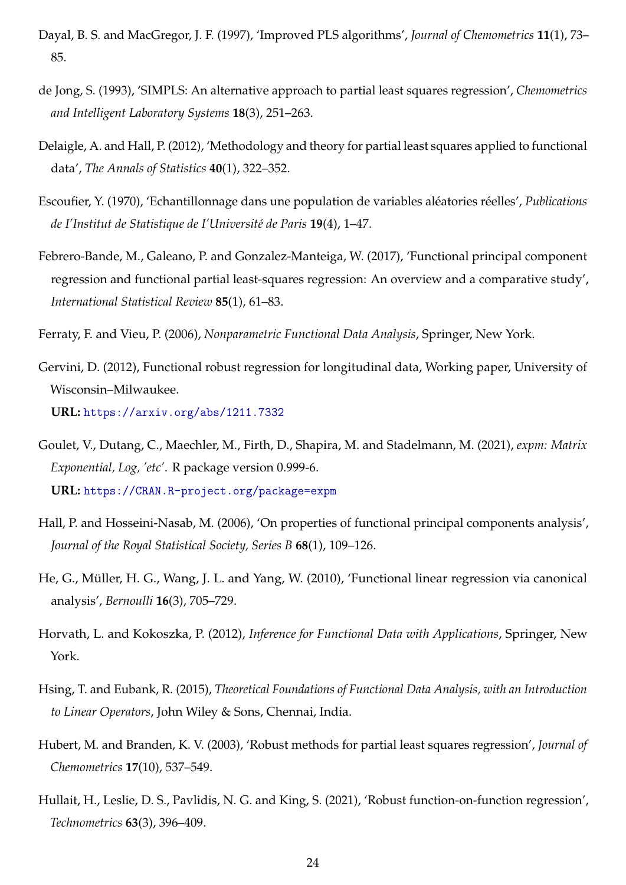- <span id="page-23-10"></span>Dayal, B. S. and MacGregor, J. F. (1997), 'Improved PLS algorithms', *Journal of Chemometrics* **11**(1), 73– 85.
- <span id="page-23-9"></span>de Jong, S. (1993), 'SIMPLS: An alternative approach to partial least squares regression', *Chemometrics and Intelligent Laboratory Systems* **18**(3), 251–263.
- <span id="page-23-5"></span>Delaigle, A. and Hall, P. (2012), 'Methodology and theory for partial least squares applied to functional data', *The Annals of Statistics* **40**(1), 322–352.
- <span id="page-23-12"></span>Escoufier, Y. (1970), 'Echantillonnage dans une population de variables aléatories réelles', *Publications de I'Institut de Statistique de I'Universit´e de Paris* **19**(4), 1–47.
- <span id="page-23-6"></span>Febrero-Bande, M., Galeano, P. and Gonzalez-Manteiga, W. (2017), 'Functional principal component regression and functional partial least-squares regression: An overview and a comparative study', *International Statistical Review* **85**(1), 61–83.

<span id="page-23-0"></span>Ferraty, F. and Vieu, P. (2006), *Nonparametric Functional Data Analysis*, Springer, New York.

<span id="page-23-7"></span>Gervini, D. (2012), Functional robust regression for longitudinal data, Working paper, University of Wisconsin–Milwaukee.

**URL:** <https://arxiv.org/abs/1211.7332>

- <span id="page-23-13"></span>Goulet, V., Dutang, C., Maechler, M., Firth, D., Shapira, M. and Stadelmann, M. (2021), *expm: Matrix Exponential, Log, 'etc'*. R package version 0.999-6. **URL:** <https://CRAN.R-project.org/package=expm>
- <span id="page-23-4"></span>Hall, P. and Hosseini-Nasab, M. (2006), 'On properties of functional principal components analysis', *Journal of the Royal Statistical Society, Series B* **68**(1), 109–126.
- <span id="page-23-3"></span>He, G., Müller, H. G., Wang, J. L. and Yang, W. (2010), 'Functional linear regression via canonical analysis', *Bernoulli* **16**(3), 705–729.
- <span id="page-23-1"></span>Horvath, L. and Kokoszka, P. (2012), *Inference for Functional Data with Applications*, Springer, New York.
- <span id="page-23-2"></span>Hsing, T. and Eubank, R. (2015), *Theoretical Foundations of Functional Data Analysis, with an Introduction to Linear Operators*, John Wiley & Sons, Chennai, India.
- <span id="page-23-11"></span>Hubert, M. and Branden, K. V. (2003), 'Robust methods for partial least squares regression', *Journal of Chemometrics* **17**(10), 537–549.
- <span id="page-23-8"></span>Hullait, H., Leslie, D. S., Pavlidis, N. G. and King, S. (2021), 'Robust function-on-function regression', *Technometrics* **63**(3), 396–409.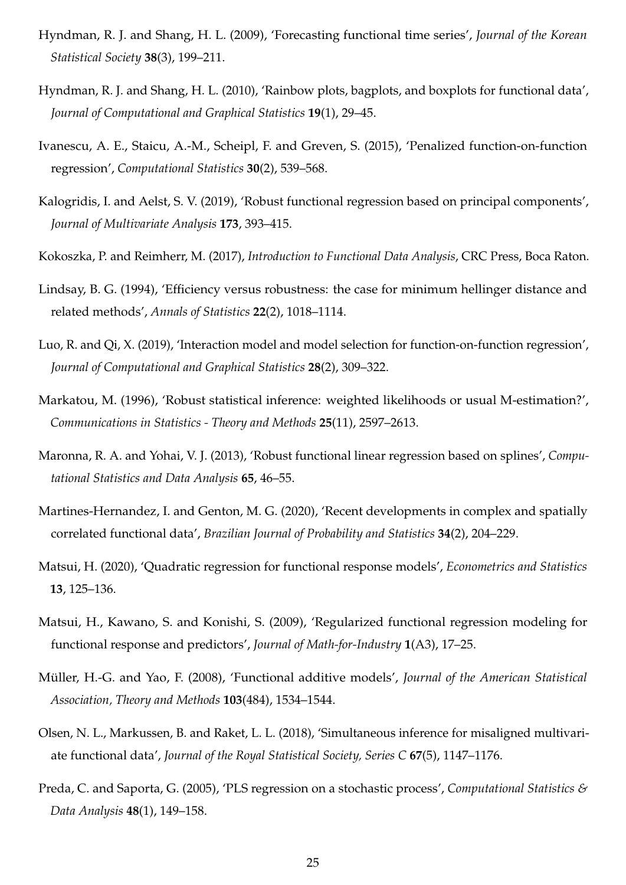- <span id="page-24-6"></span>Hyndman, R. J. and Shang, H. L. (2009), 'Forecasting functional time series', *Journal of the Korean Statistical Society* **38**(3), 199–211.
- <span id="page-24-12"></span>Hyndman, R. J. and Shang, H. L. (2010), 'Rainbow plots, bagplots, and boxplots for functional data', *Journal of Computational and Graphical Statistics* **19**(1), 29–45.
- <span id="page-24-4"></span>Ivanescu, A. E., Staicu, A.-M., Scheipl, F. and Greven, S. (2015), 'Penalized function-on-function regression', *Computational Statistics* **30**(2), 539–568.
- <span id="page-24-8"></span>Kalogridis, I. and Aelst, S. V. (2019), 'Robust functional regression based on principal components', *Journal of Multivariate Analysis* **173**, 393–415.
- <span id="page-24-0"></span>Kokoszka, P. and Reimherr, M. (2017), *Introduction to Functional Data Analysis*, CRC Press, Boca Raton.
- <span id="page-24-10"></span>Lindsay, B. G. (1994), 'Efficiency versus robustness: the case for minimum hellinger distance and related methods', *Annals of Statistics* **22**(2), 1018–1114.
- <span id="page-24-11"></span>Luo, R. and Qi, X. (2019), 'Interaction model and model selection for function-on-function regression', *Journal of Computational and Graphical Statistics* **28**(2), 309–322.
- <span id="page-24-9"></span>Markatou, M. (1996), 'Robust statistical inference: weighted likelihoods or usual M-estimation?', *Communications in Statistics - Theory and Methods* **25**(11), 2597–2613.
- <span id="page-24-7"></span>Maronna, R. A. and Yohai, V. J. (2013), 'Robust functional linear regression based on splines', *Computational Statistics and Data Analysis* **65**, 46–55.
- <span id="page-24-1"></span>Martines-Hernandez, I. and Genton, M. G. (2020), 'Recent developments in complex and spatially correlated functional data', *Brazilian Journal of Probability and Statistics* **34**(2), 204–229.
- <span id="page-24-13"></span>Matsui, H. (2020), 'Quadratic regression for functional response models', *Econometrics and Statistics* **13**, 125–136.
- <span id="page-24-3"></span>Matsui, H., Kawano, S. and Konishi, S. (2009), 'Regularized functional regression modeling for functional response and predictors', *Journal of Math-for-Industry* **1**(A3), 17–25.
- <span id="page-24-2"></span>Müller, H.-G. and Yao, F. (2008), 'Functional additive models', *Journal of the American Statistical Association, Theory and Methods* **103**(484), 1534–1544.
- <span id="page-24-14"></span>Olsen, N. L., Markussen, B. and Raket, L. L. (2018), 'Simultaneous inference for misaligned multivariate functional data', *Journal of the Royal Statistical Society, Series C* **67**(5), 1147–1176.
- <span id="page-24-5"></span>Preda, C. and Saporta, G. (2005), 'PLS regression on a stochastic process', *Computational Statistics & Data Analysis* **48**(1), 149–158.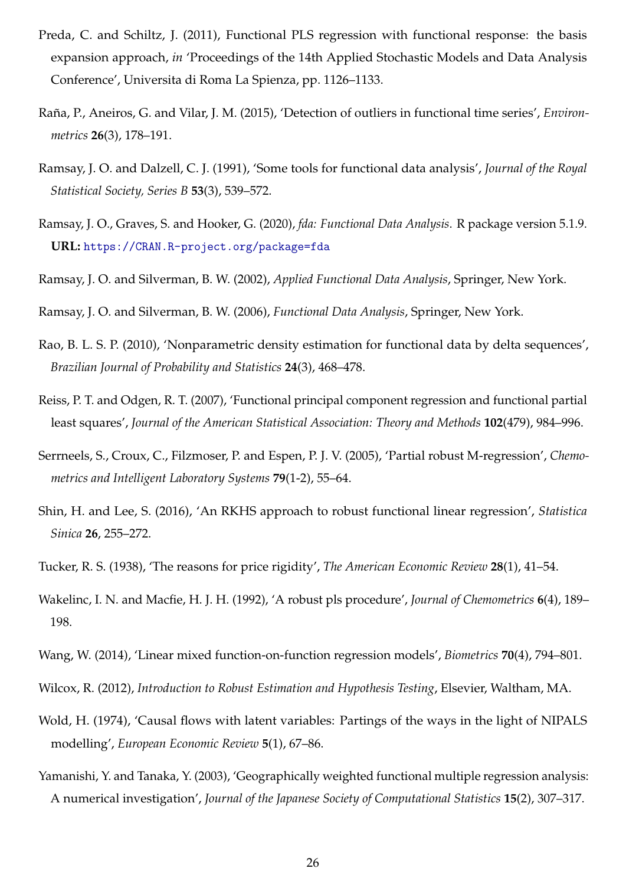- <span id="page-25-6"></span>Preda, C. and Schiltz, J. (2011), Functional PLS regression with functional response: the basis expansion approach, *in* 'Proceedings of the 14th Applied Stochastic Models and Data Analysis Conference', Universita di Roma La Spienza, pp. 1126–1133.
- <span id="page-25-8"></span>Raña, P., Aneiros, G. and Vilar, J. M. (2015), 'Detection of outliers in functional time series', *Environmetrics* **26**(3), 178–191.
- <span id="page-25-3"></span>Ramsay, J. O. and Dalzell, C. J. (1991), 'Some tools for functional data analysis', *Journal of the Royal Statistical Society, Series B* **53**(3), 539–572.
- <span id="page-25-15"></span>Ramsay, J. O., Graves, S. and Hooker, G. (2020), *fda: Functional Data Analysis*. R package version 5.1.9. **URL:** <https://CRAN.R-project.org/package=fda>
- <span id="page-25-0"></span>Ramsay, J. O. and Silverman, B. W. (2002), *Applied Functional Data Analysis*, Springer, New York.
- <span id="page-25-1"></span>Ramsay, J. O. and Silverman, B. W. (2006), *Functional Data Analysis*, Springer, New York.
- <span id="page-25-2"></span>Rao, B. L. S. P. (2010), 'Nonparametric density estimation for functional data by delta sequences', *Brazilian Journal of Probability and Statistics* **24**(3), 468–478.
- <span id="page-25-7"></span>Reiss, P. T. and Odgen, R. T. (2007), 'Functional principal component regression and functional partial least squares', *Journal of the American Statistical Association: Theory and Methods* **102**(479), 984–996.
- <span id="page-25-12"></span>Serrneels, S., Croux, C., Filzmoser, P. and Espen, P. J. V. (2005), 'Partial robust M-regression', *Chemometrics and Intelligent Laboratory Systems* **79**(1-2), 55–64.
- <span id="page-25-9"></span>Shin, H. and Lee, S. (2016), 'An RKHS approach to robust functional linear regression', *Statistica Sinica* **26**, 255–272.
- <span id="page-25-13"></span>Tucker, R. S. (1938), 'The reasons for price rigidity', *The American Economic Review* **28**(1), 41–54.
- <span id="page-25-11"></span>Wakelinc, I. N. and Macfie, H. J. H. (1992), 'A robust pls procedure', *Journal of Chemometrics* **6**(4), 189– 198.
- <span id="page-25-4"></span>Wang, W. (2014), 'Linear mixed function-on-function regression models', *Biometrics* **70**(4), 794–801.

<span id="page-25-14"></span>Wilcox, R. (2012), *Introduction to Robust Estimation and Hypothesis Testing*, Elsevier, Waltham, MA.

- <span id="page-25-10"></span>Wold, H. (1974), 'Causal flows with latent variables: Partings of the ways in the light of NIPALS modelling', *European Economic Review* **5**(1), 67–86.
- <span id="page-25-5"></span>Yamanishi, Y. and Tanaka, Y. (2003), 'Geographically weighted functional multiple regression analysis: A numerical investigation', *Journal of the Japanese Society of Computational Statistics* **15**(2), 307–317.